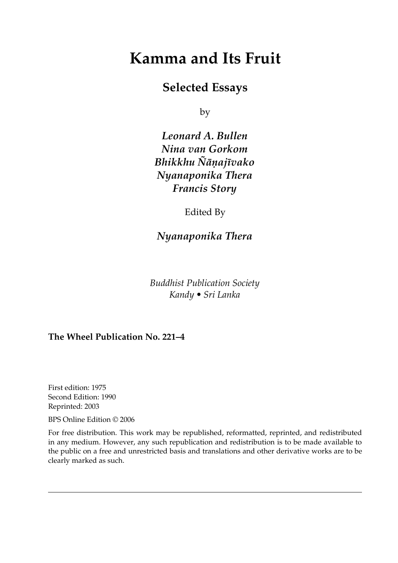# **Kamma and Its Fruit**

## **Selected Essays**

by

*Leonard A. Bullen Nina van Gorkom Bhikkhu Ñāṇajīvako Nyanaponika Thera Francis Story*

Edited By

*Nyanaponika Thera*

*Buddhist Publication Society Kandy • Sri Lanka*

### **The Wheel Publication No. 221–4**

First edition: 1975 Second Edition: 1990 Reprinted: 2003

BPS Online Edition © 2006

For free distribution. This work may be republished, reformatted, reprinted, and redistributed in any medium. However, any such republication and redistribution is to be made available to the public on a free and unrestricted basis and translations and other derivative works are to be clearly marked as such.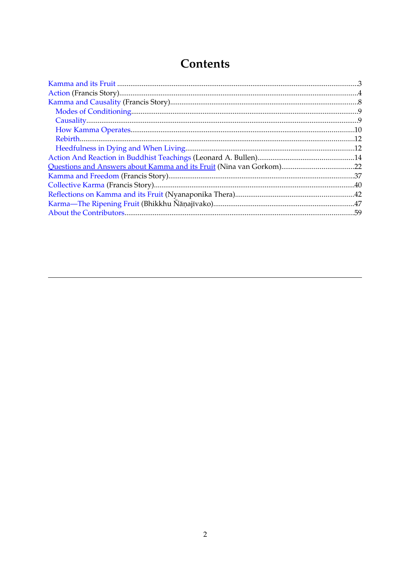## Contents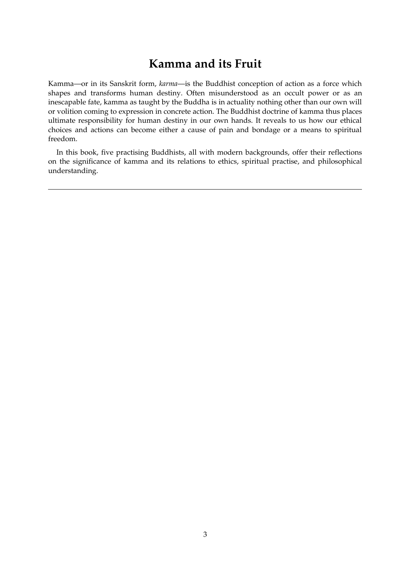## <span id="page-2-0"></span>**Kamma and its Fruit**

Kamma—or in its Sanskrit form, *karma*—is the Buddhist conception of action as a force which shapes and transforms human destiny. Often misunderstood as an occult power or as an inescapable fate, kamma as taught by the Buddha is in actuality nothing other than our own will or volition coming to expression in concrete action. The Buddhist doctrine of kamma thus places ultimate responsibility for human destiny in our own hands. It reveals to us how our ethical choices and actions can become either a cause of pain and bondage or a means to spiritual freedom.

In this book, five practising Buddhists, all with modern backgrounds, offer their reflections on the significance of kamma and its relations to ethics, spiritual practise, and philosophical understanding.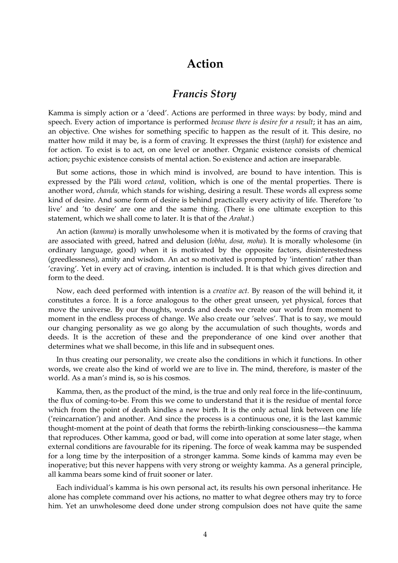## <span id="page-3-0"></span>**Action**

### *Francis Story*

Kamma is simply action or a 'deed'. Actions are performed in three ways: by body, mind and speech. Every action of importance is performed *because there is desire for a result*; it has an aim, an objective. One wishes for something specific to happen as the result of it. This desire, no matter how mild it may be, is a form of craving. It expresses the thirst (*taṇhā*) for existence and for action. To exist is to act, on one level or another. Organic existence consists of chemical action; psychic existence consists of mental action. So existence and action are inseparable.

But some actions, those in which mind is involved, are bound to have intention. This is expressed by the Pāli word *cetanā*, volition, which is one of the mental properties. There is another word, *chanda,* which stands for wishing, desiring a result. These words all express some kind of desire. And some form of desire is behind practically every activity of life. Therefore 'to live' and 'to desire' are one and the same thing. (There is one ultimate exception to this statement, which we shall come to later. It is that of the *Arahat*.)

An action (*kamma*) is morally unwholesome when it is motivated by the forms of craving that are associated with greed, hatred and delusion (*lobha, dosa, moha*)*.* It is morally wholesome (in ordinary language, good) when it is motivated by the opposite factors, disinterestedness (greedlessness), amity and wisdom. An act so motivated is prompted by 'intention' rather than 'craving'. Yet in every act of craving, intention is included. It is that which gives direction and form to the deed.

Now, each deed performed with intention is a *creative act.* By reason of the will behind it, it constitutes a force. It is a force analogous to the other great unseen, yet physical, forces that move the universe. By our thoughts, words and deeds we create our world from moment to moment in the endless process of change. We also create our 'selves'. That is to say, we mould our changing personality as we go along by the accumulation of such thoughts, words and deeds. It is the accretion of these and the preponderance of one kind over another that determines what we shall become, in this life and in subsequent ones.

In thus creating our personality, we create also the conditions in which it functions. In other words, we create also the kind of world we are to live in. The mind, therefore, is master of the world. As a man'*s* mind is, so is his cosmos.

Kamma, then, as the product of the mind, is the true and only real force in the life-continuum, the flux of coming-to-be. From this we come to understand that it is the residue of mental force which from the point of death kindles a new birth. It is the only actual link between one life ('reincarnation') and another. And since the process is a continuous one, it is the last kammic thought-moment at the point of death that forms the rebirth-linking consciousness—the kamma that reproduces. Other kamma, good or bad, will come into operation at some later stage, when external conditions are favourable for its ripening. The force of weak kamma may be suspended for a long time by the interposition of a stronger kamma. Some kinds of kamma may even be inoperative; but this never happens with very strong or weighty kamma. As a general principle, all kamma bears some kind of fruit sooner or later.

Each individual's kamma is his own personal act, its results his own personal inheritance. He alone has complete command over his actions, no matter to what degree others may try to force him. Yet an unwholesome deed done under strong compulsion does not have quite the same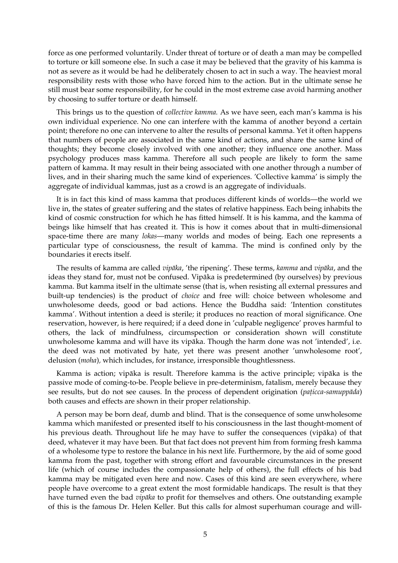force as one performed voluntarily. Under threat of torture or of death a man may be compelled to torture or kill someone else. In such a case it may be believed that the gravity of his kamma is not as severe as it would be had he deliberately chosen to act in such a way. The heaviest moral responsibility rests with those who have forced him to the action. But in the ultimate sense he still must bear some responsibility, for he could in the most extreme case avoid harming another by choosing to suffer torture or death himself.

This brings us to the question of *collective kamma.* As we have seen, each man's kamma is his own individual experience. No one can interfere with the kamma of another beyond a certain point; therefore no one can intervene to alter the results of personal kamma. Yet it often happens that numbers of people are associated in the same kind of actions, and share the same kind of thoughts; they become closely involved with one another; they influence one another. Mass psychology produces mass kamma. Therefore all such people are likely to form the same pattern of kamma. It may result in their being associated with one another through a number of lives, and in their sharing much the same kind of experiences. 'Collective kamma' is simply the aggregate of individual kammas, just as a crowd is an aggregate of individuals.

It is in fact this kind of mass kamma that produces different kinds of worlds—the world we live in, the states of greater suffering and the states of relative happiness. Each being inhabits the kind of cosmic construction for which he has fitted himself. It is his kamma, and the kamma of beings like himself that has created it. This is how it comes about that in multi-dimensional space-time there are many *lokas*—many worlds and modes of being. Each one represents a particular type of consciousness, the result of kamma. The mind is confined only by the boundaries it erects itself.

The results of kamma are called *vipāka*, 'the ripening'. These terms, *kamma* and *vipāka*, and the ideas they stand for, must not be confused. Vipāka is predetermined (by ourselves) by previous kamma. But kamma itself in the ultimate sense (that is, when resisting all external pressures and built-up tendencies) is the product of *choice* and free will: choice between wholesome and unwholesome deeds, good or bad actions. Hence the Buddha said: 'Intention constitutes kamma'. Without intention a deed is sterile; it produces no reaction of moral significance. One reservation, however, is here required; if a deed done in 'culpable negligence' proves harmful to others, the lack of mindfulness, circumspection or consideration shown will constitute unwholesome kamma and will have its vipāka. Though the harm done was not 'intended', i.e. the deed was not motivated by hate, yet there was present another 'unwholesome root', delusion (*moha*)*,* which includes, for instance, irresponsible thoughtlessness.

Kamma is action; vipāka is result. Therefore kamma is the active principle; vipāka is the passive mode of coming-to-be. People believe in pre-determinism, fatalism, merely because they see results, but do not see causes. In the process of dependent origination (*paṭicca-samuppāda*) both causes and effects are shown in their proper relationship.

A person may be born deaf, dumb and blind. That is the consequence of some unwholesome kamma which manifested or presented itself to his consciousness in the last thought-moment of his previous death. Throughout life he may have to suffer the consequences (vipāka) of that deed, whatever it may have been. But that fact does not prevent him from forming fresh kamma of a wholesome type to restore the balance in his next life. Furthermore, by the aid of some good kamma from the past, together with strong effort and favourable circumstances in the present life (which of course includes the compassionate help of others), the full effects of his bad kamma may be mitigated even here and now. Cases of this kind are seen everywhere, where people have overcome to a great extent the most formidable handicaps. The result is that they have turned even the bad *vipāka* to profit for themselves and others. One outstanding example of this is the famous Dr. Helen Keller. But this calls for almost superhuman courage and will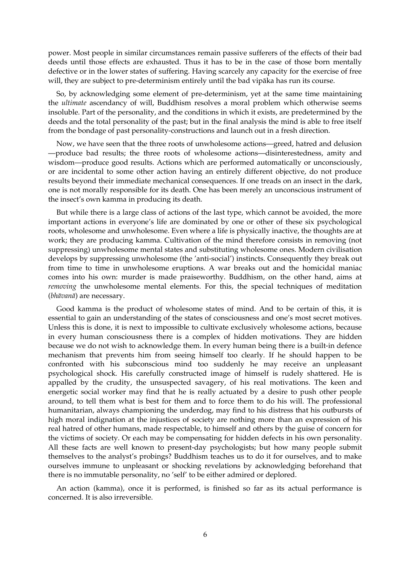power. Most people in similar circumstances remain passive sufferers of the effects of their bad deeds until those effects are exhausted. Thus it has to be in the case of those born mentally defective or in the lower states of suffering. Having scarcely any capacity for the exercise of free will, they are subject to pre-determinism entirely until the bad vipāka has run its course.

So, by acknowledging some element of pre-determinism, yet at the same time maintaining the *ultimate* ascendancy of will, Buddhism resolves a moral problem which otherwise seems insoluble. Part of the personality, and the conditions in which it exists, are predetermined by the deeds and the total personality of the past; but in the final analysis the mind is able to free itself from the bondage of past personality-constructions and launch out in a fresh direction.

Now, we have seen that the three roots of unwholesome actions—greed, hatred and delusion —produce bad results; the three roots of wholesome actions—disinterestedness, amity and wisdom—produce good results. Actions which are performed automatically or unconsciously, or are incidental to some other action having an entirely different objective, do not produce results beyond their immediate mechanical consequences. If one treads on an insect in the dark, one is not morally responsible for its death. One has been merely an unconscious instrument of the insect's own kamma in producing its death.

But while there is a large class of actions of the last type, which cannot be avoided, the more important actions in everyone's life are dominated by one or other of these six psychological roots, wholesome and unwholesome. Even where a life is physically inactive, the thoughts are at work; they are producing kamma. Cultivation of the mind therefore consists in removing (not suppressing) unwholesome mental states and substituting wholesome ones. Modern civilisation develops by suppressing unwholesome (the 'anti-social') instincts. Consequently they break out from time to time in unwholesome eruptions. A war breaks out and the homicidal maniac comes into his own: murder is made praiseworthy. Buddhism, on the other hand, aims at *removing* the unwholesome mental elements. For this, the special techniques of meditation (*bhāvanā*) are necessary.

Good kamma is the product of wholesome states of mind. And to be certain of this, it is essential to gain an understanding of the states of consciousness and one's most secret motives. Unless this is done, it is next to impossible to cultivate exclusively wholesome actions, because in every human consciousness there is a complex of hidden motivations. They are hidden because we do not wish to acknowledge them. In every human being there is a built-in defence mechanism that prevents him from seeing himself too clearly. If he should happen to be confronted with his subconscious mind too suddenly he may receive an unpleasant psychological shock. His carefully constructed image of himself is rudely shattered. He is appalled by the crudity, the unsuspected savagery, of his real motivations. The keen and energetic social worker may find that he is really actuated by a desire to push other people around, to tell them what is best for them and to force them to do his will. The professional humanitarian, always championing the underdog, may find to his distress that his outbursts of high moral indignation at the injustices of society are nothing more than an expression of his real hatred of other humans, made respectable, to himself and others by the guise of concern for the victims of society. Or each may be compensating for hidden defects in his own personality. All these facts are well known to present-day psychologists; but how many people submit themselves to the analyst's probings? Buddhism teaches us to do it for ourselves, and to make ourselves immune to unpleasant or shocking revelations by acknowledging beforehand that there is no immutable personality, no 'self' to be either admired or deplored.

An action (kamma), once it is performed, is finished so far as its actual performance is concerned. It is also irreversible.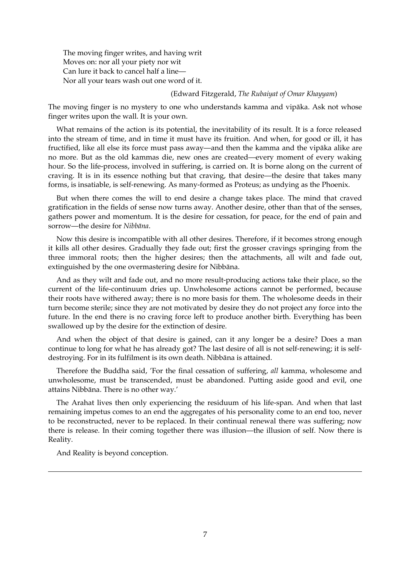The moving finger writes, and having writ Moves on: nor all your piety nor wit Can lure it back to cancel half a line— Nor all your tears wash out one word of it.

(Edward Fitzgerald, *The Rubaiyat of Omar Khayyam*)

The moving finger is no mystery to one who understands kamma and vipāka. Ask not whose finger writes upon the wall. It is your own.

What remains of the action is its potential, the inevitability of its result. It is a force released into the stream of time, and in time it must have its fruition. And when, for good or ill, it has fructified, like all else its force must pass away—and then the kamma and the vipāka alike are no more. But as the old kammas die, new ones are created—every moment of every waking hour. So the life-process, involved in suffering, is carried on. It is borne along on the current of craving. It is in its essence nothing but that craving, that desire—the desire that takes many forms, is insatiable, is self-renewing. As many-formed as Proteus; as undying as the Phoenix.

But when there comes the will to end desire a change takes place. The mind that craved gratification in the fields of sense now turns away. Another desire, other than that of the senses, gathers power and momentum. It is the desire for cessation, for peace, for the end of pain and sorrow—the desire for *Nibbāna*.

Now this desire is incompatible with all other desires. Therefore, if it becomes strong enough it kills all other desires. Gradually they fade out; first the grosser cravings springing from the three immoral roots; then the higher desires; then the attachments, all wilt and fade out, extinguished by the one overmastering desire for Nibbāna.

And as they wilt and fade out, and no more result-producing actions take their place, so the current of the life-continuum dries up. Unwholesome actions cannot be performed, because their roots have withered away; there is no more basis for them. The wholesome deeds in their turn become sterile; since they are not motivated by desire they do not project any force into the future. In the end there is no craving force left to produce another birth. Everything has been swallowed up by the desire for the extinction of desire.

And when the object of that desire is gained, can it any longer be a desire? Does a man continue to long for what he has already got? The last desire of all is not self-renewing; it is selfdestroying. For in its fulfilment is its own death. Nibbāna is attained.

Therefore the Buddha said, 'For the final cessation of suffering, *all* kamma, wholesome and unwholesome, must be transcended, must be abandoned. Putting aside good and evil, one attains Nibbāna. There is no other way.'

The Arahat lives then only experiencing the residuum of his life-span. And when that last remaining impetus comes to an end the aggregates of his personality come to an end too, never to be reconstructed, never to be replaced. In their continual renewal there was suffering; now there is release. In their coming together there was illusion—the illusion of self. Now there is Reality.

And Reality is beyond conception.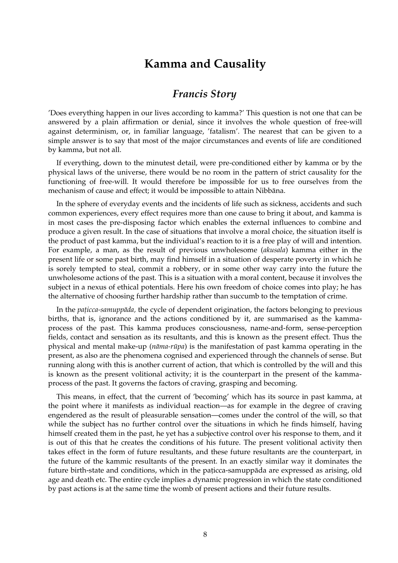## <span id="page-7-0"></span>**Kamma and Causality**

### *Francis Story*

'Does everything happen in our lives according to kamma?' This question is not one that can be answered by a plain affirmation or denial, since it involves the whole question of free-will against determinism, or, in familiar language, 'fatalism'. The nearest that can be given to a simple answer is to say that most of the major circumstances and events of life are conditioned by kamma, but not all.

If everything, down to the minutest detail, were pre-conditioned either by kamma or by the physical laws of the universe, there would be no room in the pattern of strict causality for the functioning of free-will. It would therefore be impossible for us to free ourselves from the mechanism of cause and effect; it would be impossible to attain Nibbāna.

In the sphere of everyday events and the incidents of life such as sickness, accidents and such common experiences, every effect requires more than one cause to bring it about, and kamma is in most cases the pre-disposing factor which enables the external influences to combine and produce a given result. In the case of situations that involve a moral choice, the situation itself is the product of past kamma, but the individual's reaction to it is a free play of will and intention. For example, a man, as the result of previous unwholesome (*akusala*) kamma either in the present life or some past birth, may find himself in a situation of desperate poverty in which he is sorely tempted to steal, commit a robbery, or in some other way carry into the future the unwholesome actions of the past. This is a situation with a moral content, because it involves the subject in a nexus of ethical potentials. Here his own freedom of choice comes into play; he has the alternative of choosing further hardship rather than succumb to the temptation of crime.

In the *paṭicca-samuppāda,* the cycle of dependent origination, the factors belonging to previous births, that is, ignorance and the actions conditioned by it, are summarised as the kammaprocess of the past. This kamma produces consciousness, name-and-form, sense-perception fields, contact and sensation as its resultants, and this is known as the present effect. Thus the physical and mental make-up (*nāma-rūpa*) is the manifestation of past kamma operating in the present, as also are the phenomena cognised and experienced through the channels of sense. But running along with this is another current of action, that which is controlled by the will and this is known as the present volitional activity; it is the counterpart in the present of the kammaprocess of the past. It governs the factors of craving, grasping and becoming.

This means, in effect, that the current of 'becoming' which has its source in past kamma, at the point where it manifests as individual reaction—as for example in the degree of craving engendered as the result of pleasurable sensation—comes under the control of the will, so that while the subject has no further control over the situations in which he finds himself, having himself created them in the past, he yet has a subjective control over his response to them, and it is out of this that he creates the conditions of his future. The present volitional activity then takes effect in the form of future resultants, and these future resultants are the counterpart, in the future of the kammic resultants of the present. In an exactly similar way it dominates the future birth-state and conditions, which in the paṭicca-samuppāda are expressed as arising, old age and death etc. The entire cycle implies a dynamic progression in which the state conditioned by past actions is at the same time the womb of present actions and their future results.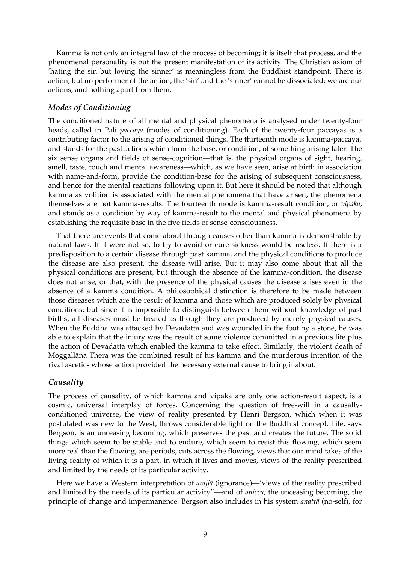Kamma is not only an integral law of the process of becoming; it is itself that process, and the phenomenal personality is but the present manifestation of its activity. The Christian axiom of 'hating the sin but loving the sinner' is meaningless from the Buddhist standpoint. There is action, but no performer of the action; the 'sin' and the 'sinner' cannot be dissociated; we are our actions, and nothing apart from them.

### <span id="page-8-1"></span>*Modes of Conditioning*

The conditioned nature of all mental and physical phenomena is analysed under twenty-four heads, called in Pāli *paccaya* (modes of conditioning). Each of the twenty-four paccayas is a contributing factor to the arising of conditioned things. The thirteenth mode is kamma-paccaya*,* and stands for the past actions which form the base, or condition, of something arising later. The six sense organs and fields of sense-cognition—that is, the physical organs of sight, hearing, smell, taste, touch and mental awareness—which, as we have seen, arise at birth in association with name-and-form, provide the condition-base for the arising of subsequent consciousness, and hence for the mental reactions following upon it. But here it should be noted that although kamma as volition is associated with the mental phenomena that have arisen, the phenomena themselves are not kamma-results. The fourteenth mode is kamma-result condition, or *vipāka*, and stands as a condition by way of kamma-result to the mental and physical phenomena by establishing the requisite base in the five fields of sense-consciousness.

That there are events that come about through causes other than kamma is demonstrable by natural laws. If it were not so, to try to avoid or cure sickness would be useless. If there is a predisposition to a certain disease through past kamma, and the physical conditions to produce the disease are also present, the disease will arise. But it may also come about that all the physical conditions are present, but through the absence of the kamma-condition, the disease does not arise; or that, with the presence of the physical causes the disease arises even in the absence of a kamma condition. A philosophical distinction is therefore to be made between those diseases which are the result of kamma and those which are produced solely by physical conditions; but since it is impossible to distinguish between them without knowledge of past births, all diseases must be treated as though they are produced by merely physical causes. When the Buddha was attacked by Devadatta and was wounded in the foot by a stone, he was able to explain that the injury was the result of some violence committed in a previous life plus the action of Devadatta which enabled the kamma to take effect. Similarly, the violent death of Moggallāna Thera was the combined result of his kamma and the murderous intention of the rival ascetics whose action provided the necessary external cause to bring it about.

### <span id="page-8-0"></span>*Causality*

The process of causality, of which kamma and vipāka are only one action-result aspect, is a cosmic, universal interplay of forces. Concerning the question of free-will in a causallyconditioned universe, the view of reality presented by Henri Bergson, which when it was postulated was new to the West, throws considerable light on the Buddhist concept. Life, says Bergson, is an unceasing becoming, which preserves the past and creates the future. The solid things which seem to be stable and to endure, which seem to resist this flowing, which seem more real than the flowing, are periods, cuts across the flowing, views that our mind takes of the living reality of which it is a part, in which it lives and moves, views of the reality prescribed and limited by the needs of its particular activity.

Here we have a Western interpretation of *avijjā* (ignorance)—'views of the reality prescribed and limited by the needs of its particular activity"—and of *anicca,* the unceasing becoming, the principle of change and impermanence. Bergson also includes in his system *anattā* (no-self), for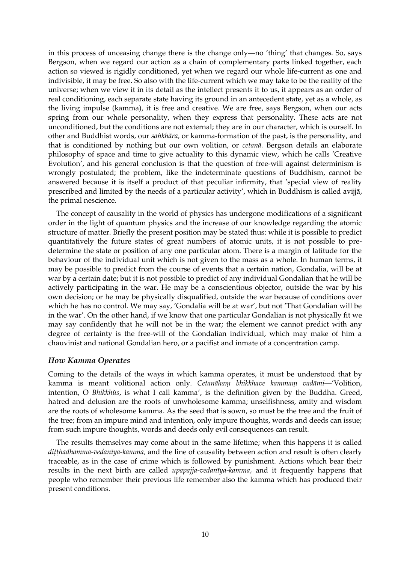in this process of unceasing change there is the change only—no 'thing' that changes. So, says Bergson, when we regard our action as a chain of complementary parts linked together, each action so viewed is rigidly conditioned, yet when we regard our whole life-current as one and indivisible, it may be free. So also with the life-current which we may take to be the reality of the universe; when we view it in its detail as the intellect presents it to us, it appears as an order of real conditioning, each separate state having its ground in an antecedent state, yet as a whole, as the living impulse (kamma), it is free and creative. We are free, says Bergson, when our acts spring from our whole personality, when they express that personality. These acts are not unconditioned, but the conditions are not external; they are in our character, which is ourself. In other and Buddhist words, our *saṅkhāra,* or kamma-formation of the past, is the personality, and that is conditioned by nothing but our own volition, or *cetanā.* Bergson details an elaborate philosophy of space and time to give actuality to this dynamic view, which he calls 'Creative Evolution', and his general conclusion is that the question of free-will against determinism is wrongly postulated; the problem, like the indeterminate questions of Buddhism, cannot be answered because it is itself a product of that peculiar infirmity, that 'special view of reality prescribed and limited by the needs of a particular activity', which in Buddhism is called avijjā, the primal nescience.

The concept of causality in the world of physics has undergone modifications of a significant order in the light of quantum physics and the increase of our knowledge regarding the atomic structure of matter. Briefly the present position may be stated thus: while it is possible to predict quantitatively the future states of great numbers of atomic units, it is not possible to predetermine the state or position of any one particular atom. There is a margin of latitude for the behaviour of the individual unit which is not given to the mass as a whole. In human terms, it may be possible to predict from the course of events that a certain nation, Gondalia, will be at war by a certain date; but it is not possible to predict of any individual Gondalian that he will be actively participating in the war. He may be a conscientious objector, outside the war by his own decision; or he may be physically disqualified, outside the war because of conditions over which he has no control. We may say, 'Gondalia will be at war', but not 'That Gondalian will be in the war'. On the other hand, if we know that one particular Gondalian is not physically fit we may say confidently that he will not be in the war; the element we cannot predict with any degree of certainty is the free-will of the Gondalian individual, which may make of him a chauvinist and national Gondalian hero, or a pacifist and inmate of a concentration camp.

#### <span id="page-9-0"></span>*How Kamma Operates*

Coming to the details of the ways in which kamma operates, it must be understood that by kamma is meant volitional action only. *Cetanāhaṃ bhikkhave kammaṃ vadāmi*—'Volition, intention, O *Bhikkhùs*, is what I call kamma', is the definition given by the Buddha. Greed, hatred and delusion are the roots of unwholesome kamma; unselfishness, amity and wisdom are the roots of wholesome kamma. As the seed that is sown, so must be the tree and the fruit of the tree; from an impure mind and intention, only impure thoughts, words and deeds can issue; from such impure thoughts, words and deeds only evil consequences can result.

The results themselves may come about in the same lifetime; when this happens it is called *diṭṭhadhamma-vedanīya-kamma,* and the line of causality between action and result is often clearly traceable, as in the case of crime which is followed by punishment. Actions which bear their results in the next birth are called *upapajja-vedanīya-kamma,* and it frequently happens that people who remember their previous life remember also the kamma which has produced their present conditions.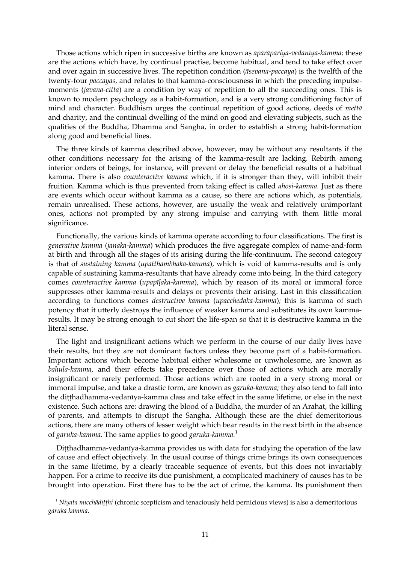Those actions which ripen in successive births are known as *aparāpariya-vedanīya-kamma;* these are the actions which have, by continual practise, become habitual, and tend to take effect over and over again in successive lives. The repetition condition (*āsevana-paccaya*) is the twelfth of the twenty-four *paccayas,* and relates to that kamma-consciousness in which the preceding impulsemoments (*javana-citta*) are a condition by way of repetition to all the succeeding ones. This is known to modern psychology as a habit-formation, and is a very strong conditioning factor of mind and character. Buddhism urges the continual repetition of good actions, deeds of *mettā* and charity, and the continual dwelling of the mind on good and elevating subjects, such as the qualities of the Buddha, Dhamma and Sangha, in order to establish a strong habit-formation along good and beneficial lines.

The three kinds of kamma described above, however, may be without any resultants if the other conditions necessary for the arising of the kamma-result are lacking. Rebirth among inferior orders of beings, for instance, will prevent or delay the beneficial results of a habitual kamma. There is also *counteractive kamma* which, if it is stronger than they, will inhibit their fruition. Kamma which is thus prevented from taking effect is called *ahosi-kamma.* Just as there are events which occur without kamma as a cause, so there are actions which, as potentials, remain unrealised. These actions, however, are usually the weak and relatively unimportant ones, actions not prompted by any strong impulse and carrying with them little moral significance.

Functionally, the various kinds of kamma operate according to four classifications. The first is *generative kamma* (*janaka-kamma*) which produces the five aggregate complex of name-and-form at birth and through all the stages of its arising during the life-continuum. The second category is that of *sustaining kamma* (*upatthambhaka-kamma*)*,* which is void of kamma-results and is only capable of sustaining kamma-resultants that have already come into being. In the third category comes *counteractive kamma* (*upapīḷaka-kamma*), which by reason of its moral or immoral force suppresses other kamma-results and delays or prevents their arising. Last in this classification according to functions comes *destructive kamma* (*upacchedaka-kamma*)*;* this is kamma of such potency that it utterly destroys the influence of weaker kamma and substitutes its own kammaresults. It may be strong enough to cut short the life-span so that it is destructive kamma in the literal sense.

The light and insignificant actions which we perform in the course of our daily lives have their results, but they are not dominant factors unless they become part of a habit-formation. Important actions which become habitual either wholesome or unwholesome, are known as *bahula-kamma,* and their effects take precedence over those of actions which are morally insignificant or rarely performed. Those actions which are rooted in a very strong moral or immoral impulse, and take a drastic form, are known as *garuka-kamma;* they also tend to fall into the diṭṭhadhamma-vedanīya-kamma class and take effect in the same lifetime, or else in the next existence. Such actions are: drawing the blood of a Buddha, the murder of an Arahat, the killing of parents, and attempts to disrupt the Sangha. Although these are the chief demeritorious actions, there are many others of lesser weight which bear results in the next birth in the absence of *garuka-kamma.* The same applies to good *garuka-kamma.*[1](#page-10-0)

Ditthadhamma-vedanīya-kamma provides us with data for studying the operation of the law of cause and effect objectively. In the usual course of things crime brings its own consequences in the same lifetime, by a clearly traceable sequence of events, but this does not invariably happen. For a crime to receive its due punishment, a complicated machinery of causes has to be brought into operation. First there has to be the act of crime, the kamma. Its punishment then

<span id="page-10-0"></span><sup>&</sup>lt;sup>1</sup> *Niyata micchāditthi* (chronic scepticism and tenaciously held pernicious views) is also a demeritorious *garuka kamma*.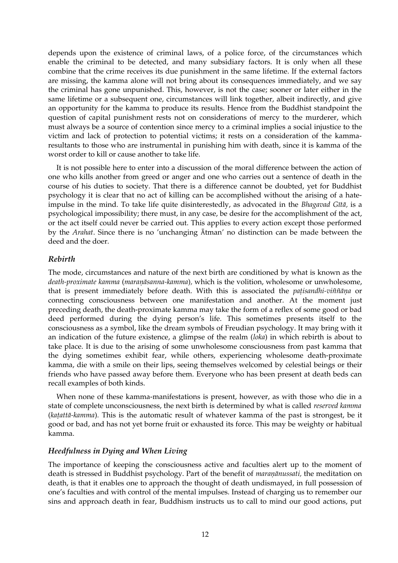depends upon the existence of criminal laws, of a police force, of the circumstances which enable the criminal to be detected, and many subsidiary factors. It is only when all these combine that the crime receives its due punishment in the same lifetime. If the external factors are missing, the kamma alone will not bring about its consequences immediately, and we say the criminal has gone unpunished. This, however, is not the case; sooner or later either in the same lifetime or a subsequent one, circumstances will link together, albeit indirectly, and give an opportunity for the kamma to produce its results. Hence from the Buddhist standpoint the question of capital punishment rests not on considerations of mercy to the murderer, which must always be a source of contention since mercy to a criminal implies a social injustice to the victim and lack of protection to potential victims; it rests on a consideration of the kammaresultants to those who are instrumental in punishing him with death, since it is kamma of the worst order to kill or cause another to take life.

It is not possible here to enter into a discussion of the moral difference between the action of one who kills another from greed or anger and one who carries out a sentence of death in the course of his duties to society. That there is a difference cannot be doubted, yet for Buddhist psychology it is clear that no act of killing can be accomplished without the arising of a hateimpulse in the mind. To take life quite disinterestedly, as advocated in the *Bhagavad Gītā,* is a psychological impossibility; there must, in any case, be desire for the accomplishment of the act, or the act itself could never be carried out. This applies to every action except those performed by the *Arahat*. Since there is no 'unchanging Ātman' no distinction can be made between the deed and the doer.

### <span id="page-11-1"></span>*Rebirth*

The mode, circumstances and nature of the next birth are conditioned by what is known as the *death-proximate kamma* (*maraṇāsanna-kamma*)*,* which is the volition, wholesome or unwholesome, that is present immediately before death. With this is associated the *paṭisandhi-viññāṇa* or connecting consciousness between one manifestation and another. At the moment just preceding death, the death-proximate kamma may take the form of a reflex of some good or bad deed performed during the dying person's life. This sometimes presents itself to the consciousness as a symbol, like the dream symbols of Freudian psychology. It may bring with it an indication of the future existence, a glimpse of the realm (*loka*) in which rebirth is about to take place. It is due to the arising of some unwholesome consciousness from past kamma that the dying sometimes exhibit fear, while others, experiencing wholesome death-proximate kamma, die with a smile on their lips, seeing themselves welcomed by celestial beings or their friends who have passed away before them. Everyone who has been present at death beds can recall examples of both kinds.

When none of these kamma-manifestations is present, however, as with those who die in a state of complete unconsciousness, the next birth is determined by what is called *reserved kamma* (*kaṭattā-kamma*)*.* This is the automatic result of whatever kamma of the past is strongest, be it good or bad, and has not yet borne fruit or exhausted its force. This may be weighty or habitual kamma.

### <span id="page-11-0"></span>*Heedfulness in Dying and When Living*

The importance of keeping the consciousness active and faculties alert up to the moment of death is stressed in Buddhist psychology. Part of the benefit of *maraṇānussati,* the meditation on death, is that it enables one to approach the thought of death undismayed, in full possession of one's faculties and with control of the mental impulses. Instead of charging us to remember our sins and approach death in fear, Buddhism instructs us to call to mind our good actions, put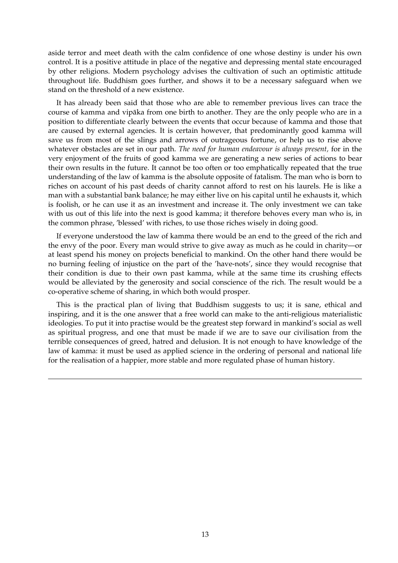aside terror and meet death with the calm confidence of one whose destiny is under his own control. It is a positive attitude in place of the negative and depressing mental state encouraged by other religions. Modern psychology advises the cultivation of such an optimistic attitude throughout life. Buddhism goes further, and shows it to be a necessary safeguard when we stand on the threshold of a new existence.

It has already been said that those who are able to remember previous lives can trace the course of kamma and vipāka from one birth to another. They are the only people who are in a position to differentiate clearly between the events that occur because of kamma and those that are caused by external agencies. It is certain however, that predominantly good kamma will save us from most of the slings and arrows of outrageous fortune, or help us to rise above whatever obstacles are set in our path. *The need for human endeavour is always present,* for in the very enjoyment of the fruits of good kamma we are generating a new series of actions to bear their own results in the future. It cannot be too often or too emphatically repeated that the true understanding of the law of kamma is the absolute opposite of fatalism. The man who is born to riches on account of his past deeds of charity cannot afford to rest on his laurels. He is like a man with a substantial bank balance; he may either live on his capital until he exhausts it, which is foolish, or he can use it as an investment and increase it. The only investment we can take with us out of this life into the next is good kamma; it therefore behoves every man who is, in the common phrase, 'blessed' with riches, to use those riches wisely in doing good.

If everyone understood the law of kamma there would be an end to the greed of the rich and the envy of the poor. Every man would strive to give away as much as he could in charity—or at least spend his money on projects beneficial to mankind. On the other hand there would be no burning feeling of injustice on the part of the 'have-nots', since they would recognise that their condition is due to their own past kamma, while at the same time its crushing effects would be alleviated by the generosity and social conscience of the rich. The result would be a co-operative scheme of sharing, in which both would prosper.

This is the practical plan of living that Buddhism suggests to us; it is sane, ethical and inspiring, and it is the one answer that a free world can make to the anti-religious materialistic ideologies. To put it into practise would be the greatest step forward in mankind's social as well as spiritual progress, and one that must be made if we are to save our civilisation from the terrible consequences of greed, hatred and delusion. It is not enough to have knowledge of the law of kamma: it must be used as applied science in the ordering of personal and national life for the realisation of a happier, more stable and more regulated phase of human history.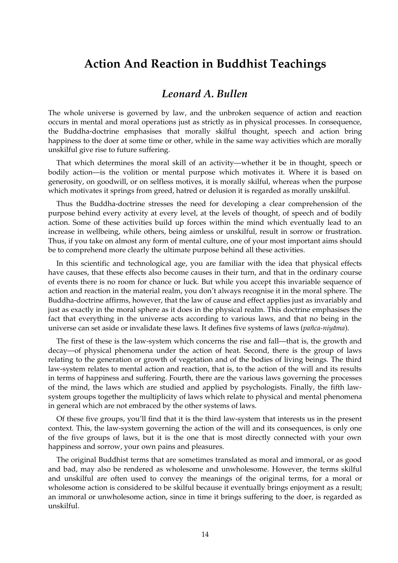### <span id="page-13-0"></span>**Action And Reaction in Buddhist Teachings**

### *Leonard A. Bullen*

The whole universe is governed by law, and the unbroken sequence of action and reaction occurs in mental and moral operations just as strictly as in physical processes. In consequence, the Buddha-doctrine emphasises that morally skilful thought, speech and action bring happiness to the doer at some time or other, while in the same way activities which are morally unskilful give rise to future suffering.

That which determines the moral skill of an activity—whether it be in thought, speech or bodily action—is the volition or mental purpose which motivates it. Where it is based on generosity, on goodwill, or on selfless motives, it is morally skilful, whereas when the purpose which motivates it springs from greed, hatred or delusion it is regarded as morally unskilful.

Thus the Buddha-doctrine stresses the need for developing a clear comprehension of the purpose behind every activity at every level, at the levels of thought, of speech and of bodily action. Some of these activities build up forces within the mind which eventually lead to an increase in wellbeing, while others, being aimless or unskilful, result in sorrow or frustration. Thus, if you take on almost any form of mental culture, one of your most important aims should be to comprehend more clearly the ultimate purpose behind all these activities.

In this scientific and technological age, you are familiar with the idea that physical effects have causes, that these effects also become causes in their turn, and that in the ordinary course of events there is no room for chance or luck. But while you accept this invariable sequence of action and reaction in the material realm, you don't always recognise it in the moral sphere. The Buddha-doctrine affirms, however, that the law of cause and effect applies just as invariably and just as exactly in the moral sphere as it does in the physical realm. This doctrine emphasises the fact that everything in the universe acts according to various laws, and that no being in the universe can set aside or invalidate these laws. It defines five systems of laws (*pañca-niyāma*).

The first of these is the law-system which concerns the rise and fall—that is, the growth and decay—of physical phenomena under the action of heat. Second, there is the group of laws relating to the generation or growth of vegetation and of the bodies of living beings. The third law-system relates to mental action and reaction, that is, to the action of the will and its results in terms of happiness and suffering. Fourth, there are the various laws governing the processes of the mind, the laws which are studied and applied by psychologists. Finally, the fifth lawsystem groups together the multiplicity of laws which relate to physical and mental phenomena in general which are not embraced by the other systems of laws.

Of these five groups, you'll find that it is the third law-system that interests us in the present context. This, the law-system governing the action of the will and its consequences, is only one of the five groups of laws, but it is the one that is most directly connected with your own happiness and sorrow, your own pains and pleasures.

The original Buddhist terms that are sometimes translated as moral and immoral, or as good and bad, may also be rendered as wholesome and unwholesome. However, the terms skilful and unskilful are often used to convey the meanings of the original terms, for a moral or wholesome action is considered to be skilful because it eventually brings enjoyment as a result; an immoral or unwholesome action, since in time it brings suffering to the doer, is regarded as unskilful.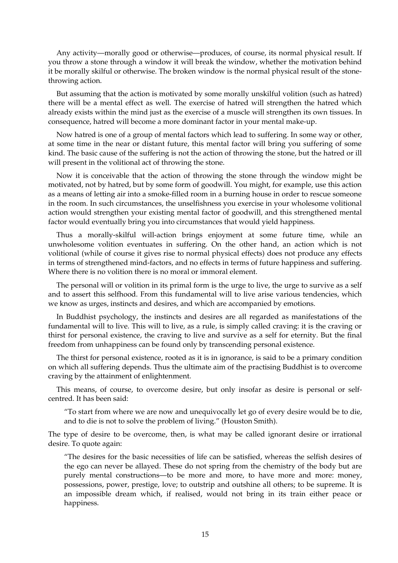Any activity—morally good or otherwise—produces, of course, its normal physical result. If you throw a stone through a window it will break the window, whether the motivation behind it be morally skilful or otherwise. The broken window is the normal physical result of the stonethrowing action.

But assuming that the action is motivated by some morally unskilful volition (such as hatred) there will be a mental effect as well. The exercise of hatred will strengthen the hatred which already exists within the mind just as the exercise of a muscle will strengthen its own tissues. In consequence, hatred will become a more dominant factor in your mental make-up.

Now hatred is one of a group of mental factors which lead to suffering. In some way or other, at some time in the near or distant future, this mental factor will bring you suffering of some kind. The basic cause of the suffering is not the action of throwing the stone, but the hatred or ill will present in the volitional act of throwing the stone.

Now it is conceivable that the action of throwing the stone through the window might be motivated, not by hatred, but by some form of goodwill. You might, for example, use this action as a means of letting air into a smoke-filled room in a burning house in order to rescue someone in the room. In such circumstances, the unselfishness you exercise in your wholesome volitional action would strengthen your existing mental factor of goodwill, and this strengthened mental factor would eventually bring you into circumstances that would yield happiness.

Thus a morally-skilful will-action brings enjoyment at some future time, while an unwholesome volition eventuates in suffering. On the other hand, an action which is not volitional (while of course it gives rise to normal physical effects) does not produce any effects in terms of strengthened mind-factors, and no effects in terms of future happiness and suffering. Where there is no volition there is no moral or immoral element.

The personal will or volition in its primal form is the urge to live, the urge to survive as a self and to assert this selfhood. From this fundamental will to live arise various tendencies, which we know as urges, instincts and desires, and which are accompanied by emotions.

In Buddhist psychology, the instincts and desires are all regarded as manifestations of the fundamental will to live. This will to live, as a rule, is simply called craving: it is the craving or thirst for personal existence, the craving to live and survive as a self for eternity. But the final freedom from unhappiness can be found only by transcending personal existence.

The thirst for personal existence, rooted as it is in ignorance, is said to be a primary condition on which all suffering depends. Thus the ultimate aim of the practising Buddhist is to overcome craving by the attainment of enlightenment.

This means, of course, to overcome desire, but only insofar as desire is personal or selfcentred. It has been said:

"To start from where we are now and unequivocally let go of every desire would be to die, and to die is not to solve the problem of living." (Houston Smith).

The type of desire to be overcome, then, is what may be called ignorant desire or irrational desire. To quote again:

"The desires for the basic necessities of life can be satisfied, whereas the selfish desires of the ego can never be allayed. These do not spring from the chemistry of the body but are purely mental constructions—to be more and more, to have more and more: money, possessions, power, prestige, love; to outstrip and outshine all others; to be supreme. It is an impossible dream which, if realised, would not bring in its train either peace or happiness.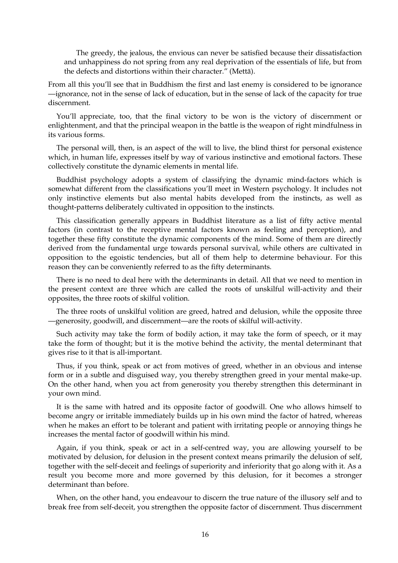The greedy, the jealous, the envious can never be satisfied because their dissatisfaction and unhappiness do not spring from any real deprivation of the essentials of life, but from the defects and distortions within their character." (Mettā).

From all this you'll see that in Buddhism the first and last enemy is considered to be ignorance —ignorance, not in the sense of lack of education, but in the sense of lack of the capacity for true discernment.

You'll appreciate, too, that the final victory to be won is the victory of discernment or enlightenment, and that the principal weapon in the battle is the weapon of right mindfulness in its various forms.

The personal will, then, is an aspect of the will to live, the blind thirst for personal existence which, in human life, expresses itself by way of various instinctive and emotional factors. These collectively constitute the dynamic elements in mental life.

Buddhist psychology adopts a system of classifying the dynamic mind-factors which is somewhat different from the classifications you'll meet in Western psychology. It includes not only instinctive elements but also mental habits developed from the instincts, as well as thought-patterns deliberately cultivated in opposition to the instincts.

This classification generally appears in Buddhist literature as a list of fifty active mental factors (in contrast to the receptive mental factors known as feeling and perception), and together these fifty constitute the dynamic components of the mind. Some of them are directly derived from the fundamental urge towards personal survival, while others are cultivated in opposition to the egoistic tendencies, but all of them help to determine behaviour. For this reason they can be conveniently referred to as the fifty determinants.

There is no need to deal here with the determinants in detail. All that we need to mention in the present context are three which are called the roots of unskilful will-activity and their opposites, the three roots of skilful volition.

The three roots of unskilful volition are greed, hatred and delusion, while the opposite three —generosity, goodwill, and discernment—are the roots of skilful will-activity.

Such activity may take the form of bodily action, it may take the form of speech, or it may take the form of thought; but it is the motive behind the activity, the mental determinant that gives rise to it that is all-important.

Thus, if you think, speak or act from motives of greed, whether in an obvious and intense form or in a subtle and disguised way, you thereby strengthen greed in your mental make-up. On the other hand, when you act from generosity you thereby strengthen this determinant in your own mind.

It is the same with hatred and its opposite factor of goodwill. One who allows himself to become angry or irritable immediately builds up in his own mind the factor of hatred, whereas when he makes an effort to be tolerant and patient with irritating people or annoying things he increases the mental factor of goodwill within his mind.

Again, if you think, speak or act in a self-centred way, you are allowing yourself to be motivated by delusion, for delusion in the present context means primarily the delusion of self, together with the self-deceit and feelings of superiority and inferiority that go along with it. As a result you become more and more governed by this delusion, for it becomes a stronger determinant than before.

When, on the other hand, you endeavour to discern the true nature of the illusory self and to break free from self-deceit, you strengthen the opposite factor of discernment. Thus discernment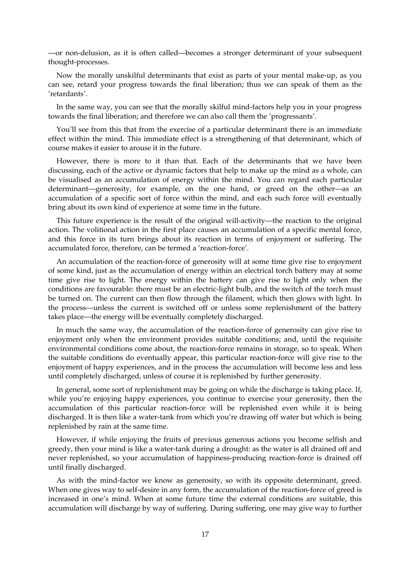—or non-delusion, as it is often called—becomes a stronger determinant of your subsequent thought-processes.

Now the morally unskilful determinants that exist as parts of your mental make-up, as you can see, retard your progress towards the final liberation; thus we can speak of them as the 'retardants'.

In the same way, you can see that the morally skilful mind-factors help you in your progress towards the final liberation; and therefore we can also call them the 'progressants'.

You'll see from this that from the exercise of a particular determinant there is an immediate effect within the mind. This immediate effect is a strengthening of that determinant, which of course makes it easier to arouse it in the future.

However, there is more to it than that. Each of the determinants that we have been discussing, each of the active or dynamic factors that help to make up the mind as a whole, can be visualised as an accumulation of energy within the mind. You can regard each particular determinant—generosity, for example, on the one hand, or greed on the other—as an accumulation of a specific sort of force within the mind, and each such force will eventually bring about its own kind of experience at some time in the future.

This future experience is the result of the original will-activity—the reaction to the original action. The volitional action in the first place causes an accumulation of a specific mental force, and this force in its turn brings about its reaction in terms of enjoyment or suffering. The accumulated force, therefore, can be termed a 'reaction-force'.

An accumulation of the reaction-force of generosity will at some time give rise to enjoyment of some kind, just as the accumulation of energy within an electrical torch battery may at some time give rise to light. The energy within the battery can give rise to light only when the conditions are favourable: there must be an electric-light bulb, and the switch of the torch must be turned on. The current can then flow through the filament, which then glows with light. In the process—unless the current is switched off or unless some replenishment of the battery takes place—the energy will be eventually completely discharged.

In much the same way, the accumulation of the reaction-force of generosity can give rise to enjoyment only when the environment provides suitable conditions; and, until the requisite environmental conditions come about, the reaction-force remains in storage, so to speak. When the suitable conditions do eventually appear, this particular reaction-force will give rise to the enjoyment of happy experiences, and in the process the accumulation will become less and less until completely discharged, unless of course it is replenished by further generosity.

In general, some sort of replenishment may be going on while the discharge is taking place. If, while you're enjoying happy experiences, you continue to exercise your generosity, then the accumulation of this particular reaction-force will be replenished even while it is being discharged. It is then like a water-tank from which you're drawing off water but which is being replenished by rain at the same time.

However, if while enjoying the fruits of previous generous actions you become selfish and greedy, then your mind is like a water-tank during a drought: as the water is all drained off and never replenished, so your accumulation of happiness-producing reaction-force is drained off until finally discharged.

As with the mind-factor we know as generosity, so with its opposite determinant, greed. When one gives way to self-desire in any form, the accumulation of the reaction-force of greed is increased in one's mind. When at some future time the external conditions are suitable, this accumulation will discharge by way of suffering. During suffering, one may give way to further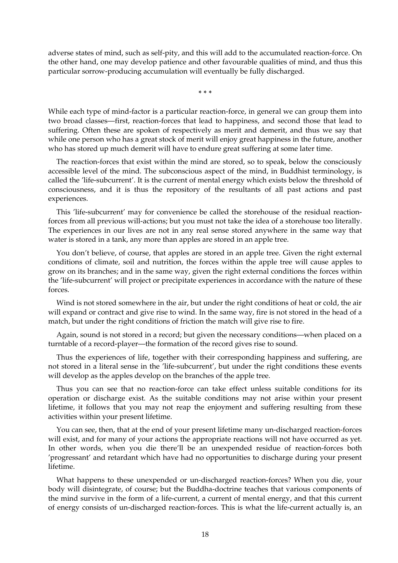adverse states of mind, such as self-pity, and this will add to the accumulated reaction-force. On the other hand, one may develop patience and other favourable qualities of mind, and thus this particular sorrow-producing accumulation will eventually be fully discharged.

**\* \* \***

While each type of mind-factor is a particular reaction-force, in general we can group them into two broad classes—first, reaction-forces that lead to happiness, and second those that lead to suffering. Often these are spoken of respectively as merit and demerit, and thus we say that while one person who has a great stock of merit will enjoy great happiness in the future, another who has stored up much demerit will have to endure great suffering at some later time.

The reaction-forces that exist within the mind are stored, so to speak, below the consciously accessible level of the mind. The subconscious aspect of the mind, in Buddhist terminology, is called the 'life-subcurrent'. It is the current of mental energy which exists below the threshold of consciousness, and it is thus the repository of the resultants of all past actions and past experiences.

This 'life-subcurrent' may for convenience be called the storehouse of the residual reactionforces from all previous will-actions; but you must not take the idea of a storehouse too literally. The experiences in our lives are not in any real sense stored anywhere in the same way that water is stored in a tank, any more than apples are stored in an apple tree.

You don't believe, of course, that apples are stored in an apple tree. Given the right external conditions of climate, soil and nutrition, the forces within the apple tree will cause apples to grow on its branches; and in the same way, given the right external conditions the forces within the 'life-subcurrent' will project or precipitate experiences in accordance with the nature of these forces.

Wind is not stored somewhere in the air, but under the right conditions of heat or cold, the air will expand or contract and give rise to wind. In the same way, fire is not stored in the head of a match, but under the right conditions of friction the match will give rise to fire.

Again, sound is not stored in a record; but given the necessary conditions—when placed on a turntable of a record-player—the formation of the record gives rise to sound.

Thus the experiences of life, together with their corresponding happiness and suffering, are not stored in a literal sense in the 'life-subcurrent', but under the right conditions these events will develop as the apples develop on the branches of the apple tree.

Thus you can see that no reaction-force can take effect unless suitable conditions for its operation or discharge exist. As the suitable conditions may not arise within your present lifetime, it follows that you may not reap the enjoyment and suffering resulting from these activities within your present lifetime.

You can see, then, that at the end of your present lifetime many un-discharged reaction-forces will exist, and for many of your actions the appropriate reactions will not have occurred as yet. In other words, when you die there'll be an unexpended residue of reaction-forces both 'progressant' and retardant which have had no opportunities to discharge during your present lifetime.

What happens to these unexpended or un-discharged reaction-forces? When you die, your body will disintegrate, of course; but the Buddha-doctrine teaches that various components of the mind survive in the form of a life-current, a current of mental energy, and that this current of energy consists of un-discharged reaction-forces. This is what the life-current actually is, an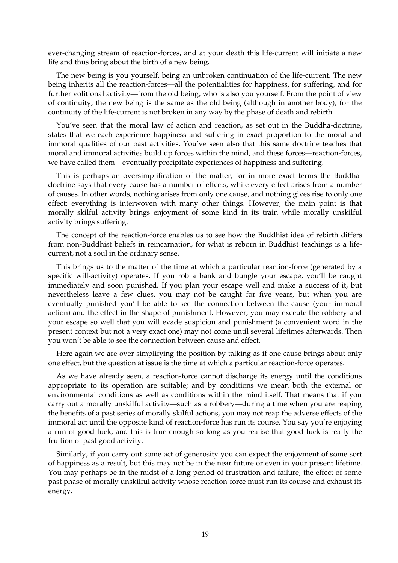ever-changing stream of reaction-forces, and at your death this life-current will initiate a new life and thus bring about the birth of a new being.

The new being is you yourself, being an unbroken continuation of the life-current. The new being inherits all the reaction-forces—all the potentialities for happiness, for suffering, and for further volitional activity—from the old being, who is also you yourself. From the point of view of continuity, the new being is the same as the old being (although in another body), for the continuity of the life-current is not broken in any way by the phase of death and rebirth.

You've seen that the moral law of action and reaction, as set out in the Buddha-doctrine, states that we each experience happiness and suffering in exact proportion to the moral and immoral qualities of our past activities. You've seen also that this same doctrine teaches that moral and immoral activities build up forces within the mind, and these forces—reaction-forces, we have called them—eventually precipitate experiences of happiness and suffering.

This is perhaps an oversimplification of the matter, for in more exact terms the Buddhadoctrine says that every cause has a number of effects, while every effect arises from a number of causes. In other words, nothing arises from only one cause, and nothing gives rise to only one effect: everything is interwoven with many other things. However, the main point is that morally skilful activity brings enjoyment of some kind in its train while morally unskilful activity brings suffering.

The concept of the reaction-force enables us to see how the Buddhist idea of rebirth differs from non-Buddhist beliefs in reincarnation, for what is reborn in Buddhist teachings is a lifecurrent, not a soul in the ordinary sense.

This brings us to the matter of the time at which a particular reaction-force (generated by a specific will-activity) operates. If you rob a bank and bungle your escape, you'll be caught immediately and soon punished. If you plan your escape well and make a success of it, but nevertheless leave a few clues, you may not be caught for five years, but when you are eventually punished you'll be able to see the connection between the cause (your immoral action) and the effect in the shape of punishment. However, you may execute the robbery and your escape so well that you will evade suspicion and punishment (a convenient word in the present context but not a very exact one) may not come until several lifetimes afterwards. Then you won't be able to see the connection between cause and effect.

Here again we are over-simplifying the position by talking as if one cause brings about only one effect, but the question at issue is the time at which a particular reaction-force operates.

As we have already seen, a reaction-force cannot discharge its energy until the conditions appropriate to its operation are suitable; and by conditions we mean both the external or environmental conditions as well as conditions within the mind itself. That means that if you carry out a morally unskilful activity—such as a robbery—during a time when you are reaping the benefits of a past series of morally skilful actions, you may not reap the adverse effects of the immoral act until the opposite kind of reaction-force has run its course. You say you're enjoying a run of good luck, and this is true enough so long as you realise that good luck is really the fruition of past good activity.

Similarly, if you carry out some act of generosity you can expect the enjoyment of some sort of happiness as a result, but this may not be in the near future or even in your present lifetime. You may perhaps be in the midst of a long period of frustration and failure, the effect of some past phase of morally unskilful activity whose reaction-force must run its course and exhaust its energy.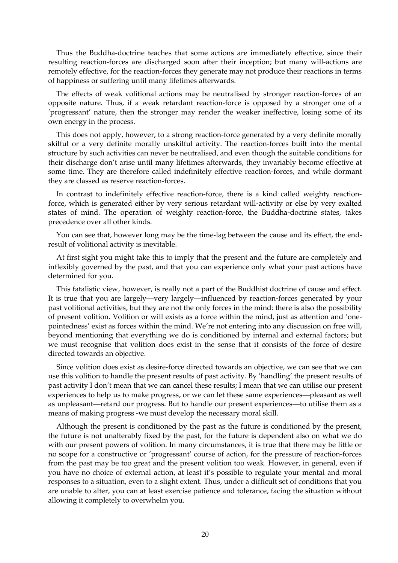Thus the Buddha-doctrine teaches that some actions are immediately effective, since their resulting reaction-forces are discharged soon after their inception; but many will-actions are remotely effective, for the reaction-forces they generate may not produce their reactions in terms of happiness or suffering until many lifetimes afterwards.

The effects of weak volitional actions may be neutralised by stronger reaction-forces of an opposite nature. Thus, if a weak retardant reaction-force is opposed by a stronger one of a 'progressant' nature, then the stronger may render the weaker ineffective, losing some of its own energy in the process.

This does not apply, however, to a strong reaction-force generated by a very definite morally skilful or a very definite morally unskilful activity. The reaction-forces built into the mental structure by such activities can never be neutralised, and even though the suitable conditions for their discharge don't arise until many lifetimes afterwards, they invariably become effective at some time. They are therefore called indefinitely effective reaction-forces, and while dormant they are classed as reserve reaction-forces.

In contrast to indefinitely effective reaction-force, there is a kind called weighty reactionforce, which is generated either by very serious retardant will-activity or else by very exalted states of mind. The operation of weighty reaction-force, the Buddha-doctrine states, takes precedence over all other kinds.

You can see that, however long may be the time-lag between the cause and its effect, the endresult of volitional activity is inevitable.

At first sight you might take this to imply that the present and the future are completely and inflexibly governed by the past, and that you can experience only what your past actions have determined for you.

This fatalistic view, however, is really not a part of the Buddhist doctrine of cause and effect. It is true that you are largely—very largely—influenced by reaction-forces generated by your past volitional activities, but they are not the only forces in the mind: there is also the possibility of present volition. Volition or will exists as a force within the mind, just as attention and 'onepointedness' exist as forces within the mind. We're not entering into any discussion on free will, beyond mentioning that everything we do is conditioned by internal and external factors; but we must recognise that volition does exist in the sense that it consists of the force of desire directed towards an objective.

Since volition does exist as desire-force directed towards an objective, we can see that we can use this volition to handle the present results of past activity. By 'handling' the present results of past activity I don't mean that we can cancel these results; I mean that we can utilise our present experiences to help us to make progress, or we can let these same experiences—pleasant as well as unpleasant—retard our progress. But to handle our present experiences—to utilise them as a means of making progress -we must develop the necessary moral skill.

Although the present is conditioned by the past as the future is conditioned by the present, the future is not unalterably fixed by the past, for the future is dependent also on what we do with our present powers of volition. In many circumstances, it is true that there may be little or no scope for a constructive or 'progressant' course of action, for the pressure of reaction-forces from the past may be too great and the present volition too weak. However, in general, even if you have no choice of external action, at least it's possible to regulate your mental and moral responses to a situation, even to a slight extent. Thus, under a difficult set of conditions that you are unable to alter, you can at least exercise patience and tolerance, facing the situation without allowing it completely to overwhelm you.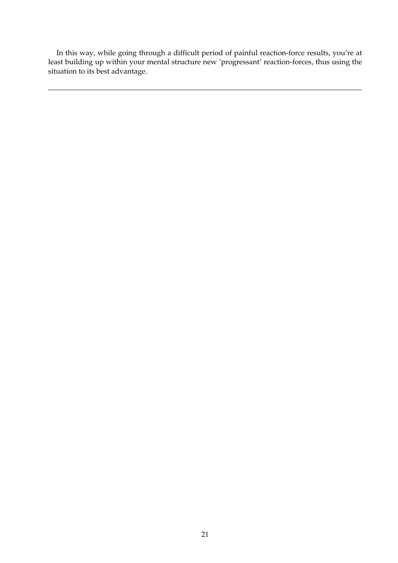In this way, while going through a difficult period of painful reaction-force results, you're at least building up within your mental structure new 'progressant' reaction-forces, thus using the situation to its best advantage.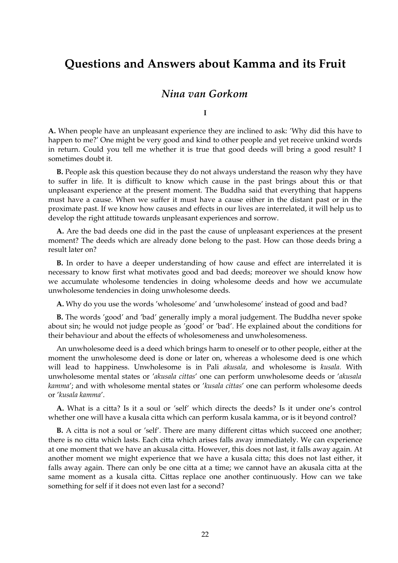## <span id="page-21-0"></span>**Questions and Answers about Kamma and its Fruit**

### *Nina van Gorkom*

**I**

**A.** When people have an unpleasant experience they are inclined to ask: 'Why did this have to happen to me?' One might be very good and kind to other people and yet receive unkind words in return. Could you tell me whether it is true that good deeds will bring a good result? I sometimes doubt it.

**B.** People ask this question because they do not always understand the reason why they have to suffer in life. It is difficult to know which cause in the past brings about this or that unpleasant experience at the present moment. The Buddha said that everything that happens must have a cause. When we suffer it must have a cause either in the distant past or in the proximate past. If we know how causes and effects in our lives are interrelated, it will help us to develop the right attitude towards unpleasant experiences and sorrow.

**A.** Are the bad deeds one did in the past the cause of unpleasant experiences at the present moment? The deeds which are already done belong to the past. How can those deeds bring a result later on?

**B.** In order to have a deeper understanding of how cause and effect are interrelated it is necessary to know first what motivates good and bad deeds; moreover we should know how we accumulate wholesome tendencies in doing wholesome deeds and how we accumulate unwholesome tendencies in doing unwholesome deeds.

**A.** Why do you use the words 'wholesome' and 'unwholesome' instead of good and bad?

**B.** The words 'good' and 'bad' generally imply a moral judgement. The Buddha never spoke about sin; he would not judge people as 'good' or 'bad'. He explained about the conditions for their behaviour and about the effects of wholesomeness and unwholesomeness.

An unwholesome deed is a deed which brings harm to oneself or to other people, either at the moment the unwholesome deed is done or later on, whereas a wholesome deed is one which will lead to happiness. Unwholesome is in Pali *akusala,* and wholesome is *kusala.* With unwholesome mental states or '*akusala cittas*' one can perform unwholesome deeds or '*akusala kamma*'; and with wholesome mental states or '*kusala cittas*' one can perform wholesome deeds or '*kusala kamma*'.

**A.** What is a citta? Is it a soul or 'self' which directs the deeds? Is it under one's control whether one will have a kusala citta which can perform kusala kamma, or is it beyond control?

**B.** A citta is not a soul or 'self'. There are many different cittas which succeed one another; there is no citta which lasts. Each citta which arises falls away immediately. We can experience at one moment that we have an akusala citta. However, this does not last, it falls away again. At another moment we might experience that we have a kusala citta; this does not last either, it falls away again. There can only be one citta at a time; we cannot have an akusala citta at the same moment as a kusala citta. Cittas replace one another continuously. How can we take something for self if it does not even last for a second?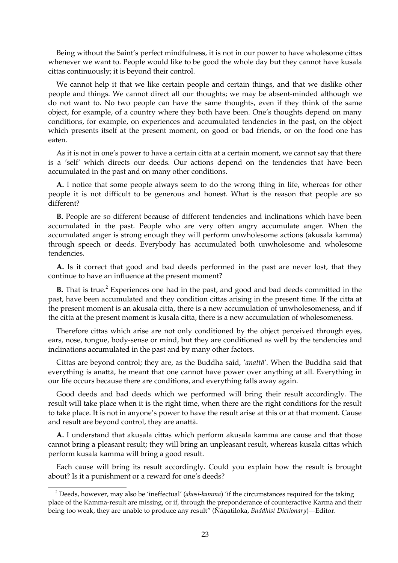Being without the Saint's perfect mindfulness, it is not in our power to have wholesome cittas whenever we want to. People would like to be good the whole day but they cannot have kusala cittas continuously; it is beyond their control.

We cannot help it that we like certain people and certain things, and that we dislike other people and things. We cannot direct all our thoughts; we may be absent-minded although we do not want to. No two people can have the same thoughts, even if they think of the same object, for example, of a country where they both have been. One's thoughts depend on many conditions, for example, on experiences and accumulated tendencies in the past, on the object which presents itself at the present moment, on good or bad friends, or on the food one has eaten.

As it is not in one's power to have a certain citta at a certain moment, we cannot say that there is a 'self' which directs our deeds. Our actions depend on the tendencies that have been accumulated in the past and on many other conditions.

**A.** I notice that some people always seem to do the wrong thing in life, whereas for other people it is not difficult to be generous and honest. What is the reason that people are so different?

**B.** People are so different because of different tendencies and inclinations which have been accumulated in the past. People who are very often angry accumulate anger. When the accumulated anger is strong enough they will perform unwholesome actions (akusala kamma) through speech or deeds. Everybody has accumulated both unwholesome and wholesome tendencies.

**A.** Is it correct that good and bad deeds performed in the past are never lost, that they continue to have an influence at the present moment?

**B.** That is true.<sup>[2](#page-22-0)</sup> Experiences one had in the past, and good and bad deeds committed in the past, have been accumulated and they condition cittas arising in the present time. If the citta at the present moment is an akusala citta, there is a new accumulation of unwholesomeness, and if the citta at the present moment is kusala citta, there is a new accumulation of wholesomeness.

Therefore cittas which arise are not only conditioned by the object perceived through eyes, ears, nose, tongue, body-sense or mind, but they are conditioned as well by the tendencies and inclinations accumulated in the past and by many other factors.

Cittas are beyond control; they are, as the Buddha said, '*anattā*'*.* When the Buddha said that everything is anattā, he meant that one cannot have power over anything at all. Everything in our life occurs because there are conditions, and everything falls away again.

Good deeds and bad deeds which we performed will bring their result accordingly. The result will take place when it is the right time, when there are the right conditions for the result to take place. It is not in anyone's power to have the result arise at this or at that moment. Cause and result are beyond control, they are anattā.

**A.** I understand that akusala cittas which perform akusala kamma are cause and that those cannot bring a pleasant result; they will bring an unpleasant result, whereas kusala cittas which perform kusala kamma will bring a good result.

Each cause will bring its result accordingly. Could you explain how the result is brought about? Is it a punishment or a reward for one's deeds?

<span id="page-22-0"></span><sup>&</sup>lt;sup>2</sup> Deeds, however, may also be 'ineffectual' (*ahosi-kamma*) 'if the circumstances required for the taking place of the Kamma-result are missing, or if, through the preponderance of counteractive Karma and their being too weak, they are unable to produce any result" (Ñāṇatiloka, *Buddhist Dictionary*)—Editor.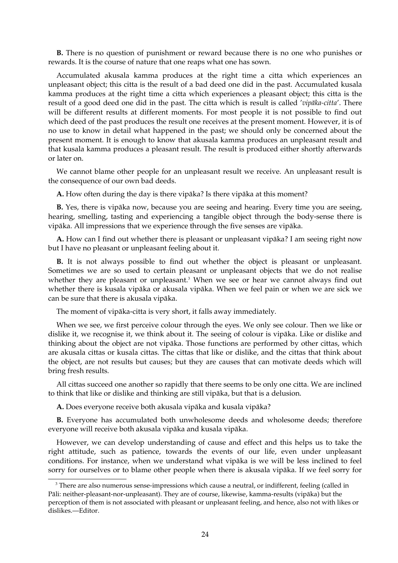**B.** There is no question of punishment or reward because there is no one who punishes or rewards. It is the course of nature that one reaps what one has sown.

Accumulated akusala kamma produces at the right time a citta which experiences an unpleasant object; this citta is the result of a bad deed one did in the past. Accumulated kusala kamma produces at the right time a citta which experiences a pleasant object; this citta is the result of a good deed one did in the past. The citta which is result is called '*vipāka-citta*'. There will be different results at different moments. For most people it is not possible to find out which deed of the past produces the result one receives at the present moment. However, it is of no use to know in detail what happened in the past; we should only be concerned about the present moment. It is enough to know that akusala kamma produces an unpleasant result and that kusala kamma produces a pleasant result. The result is produced either shortly afterwards or later on.

We cannot blame other people for an unpleasant result we receive. An unpleasant result is the consequence of our own bad deeds.

**A.** How often during the day is there vipāka? Is there vipāka at this moment?

**B.** Yes, there is vipāka now, because you are seeing and hearing. Every time you are seeing, hearing, smelling, tasting and experiencing a tangible object through the body-sense there is vipāka. All impressions that we experience through the five senses are vipāka.

**A.** How can I find out whether there is pleasant or unpleasant vipāka? I am seeing right now but I have no pleasant or unpleasant feeling about it.

**B.** It is not always possible to find out whether the object is pleasant or unpleasant. Sometimes we are so used to certain pleasant or unpleasant objects that we do not realise whether they are pleasant or unpleasant.<sup>[3](#page-23-0)</sup> When we see or hear we cannot always find out whether there is kusala vipāka or akusala vipāka. When we feel pain or when we are sick we can be sure that there is akusala vipāka.

The moment of vipāka-citta is very short, it falls away immediately.

When we see, we first perceive colour through the eyes. We only see colour. Then we like or dislike it, we recognise it, we think about it. The seeing of colour is vipāka. Like or dislike and thinking about the object are not vipāka. Those functions are performed by other cittas, which are akusala cittas or kusala cittas. The cittas that like or dislike, and the cittas that think about the object, are not results but causes; but they are causes that can motivate deeds which will bring fresh results.

All cittas succeed one another so rapidly that there seems to be only one citta. We are inclined to think that like or dislike and thinking are still vipāka, but that is a delusion.

**A.** Does everyone receive both akusala vipāka and kusala vipāka?

**B.** Everyone has accumulated both unwholesome deeds and wholesome deeds; therefore everyone will receive both akusala vipāka and kusala vipāka.

However, we can develop understanding of cause and effect and this helps us to take the right attitude, such as patience, towards the events of our life, even under unpleasant conditions. For instance, when we understand what vipāka is we will be less inclined to feel sorry for ourselves or to blame other people when there is akusala vipāka. If we feel sorry for

<span id="page-23-0"></span> $3$  There are also numerous sense-impressions which cause a neutral, or indifferent, feeling (called in Pāli: neither-pleasant-nor-unpleasant). They are of course, likewise, kamma-results (vipāka) but the perception of them is not associated with pleasant or unpleasant feeling, and hence, also not with likes or dislikes.—Editor.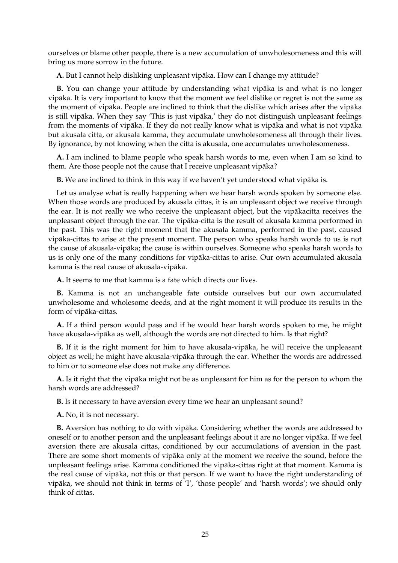ourselves or blame other people, there is a new accumulation of unwholesomeness and this will bring us more sorrow in the future.

**A.** But I cannot help disliking unpleasant vipāka. How can I change my attitude?

**B.** You can change your attitude by understanding what vipāka is and what is no longer vipāka. It is very important to know that the moment we feel dislike or regret is not the same as the moment of vipāka. People are inclined to think that the dislike which arises after the vipāka is still vipāka. When they say 'This is just vipāka,' they do not distinguish unpleasant feelings from the moments of vipāka. If they do not really know what is vipāka and what is not vipāka but akusala citta, or akusala kamma, they accumulate unwholesomeness all through their lives. By ignorance, by not knowing when the citta is akusala, one accumulates unwholesomeness.

**A.** I am inclined to blame people who speak harsh words to me, even when I am so kind to them. Are those people not the cause that I receive unpleasant vipāka?

**B.** We are inclined to think in this way if we haven't yet understood what vipāka is.

Let us analyse what is really happening when we hear harsh words spoken by someone else. When those words are produced by akusala cittas, it is an unpleasant object we receive through the ear. It is not really we who receive the unpleasant object, but the vipākacitta receives the unpleasant object through the ear. The vipāka-citta is the result of akusala kamma performed in the past. This was the right moment that the akusala kamma, performed in the past, caused vipāka-cittas to arise at the present moment. The person who speaks harsh words to us is not the cause of akusala-vipāka; the cause is within ourselves. Someone who speaks harsh words to us is only one of the many conditions for vipāka-cittas to arise. Our own accumulated akusala kamma is the real cause of akusala-vipāka.

**A.** It seems to me that kamma is a fate which directs our lives.

**B.** Kamma is not an unchangeable fate outside ourselves but our own accumulated unwholesome and wholesome deeds, and at the right moment it will produce its results in the form of vipāka-cittas.

**A.** If a third person would pass and if he would hear harsh words spoken to me, he might have akusala-vipāka as well, although the words are not directed to him. Is that right?

**B.** If it is the right moment for him to have akusala-vipāka, he will receive the unpleasant object as well; he might have akusala-vipāka through the ear. Whether the words are addressed to him or to someone else does not make any difference.

**A.** Is it right that the vipāka might not be as unpleasant for him as for the person to whom the harsh words are addressed?

**B.** Is it necessary to have aversion every time we hear an unpleasant sound?

**A.** No, it is not necessary.

**B.** Aversion has nothing to do with vipāka. Considering whether the words are addressed to oneself or to another person and the unpleasant feelings about it are no longer vipāka. If we feel aversion there are akusala cittas, conditioned by our accumulations of aversion in the past. There are some short moments of vipāka only at the moment we receive the sound, before the unpleasant feelings arise. Kamma conditioned the vipāka-cittas right at that moment. Kamma is the real cause of vipāka, not this or that person. If we want to have the right understanding of vipāka, we should not think in terms of 'I', 'those people' and 'harsh words'; we should only think of cittas.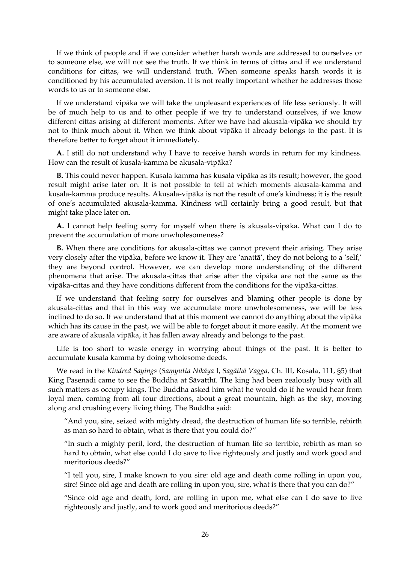If we think of people and if we consider whether harsh words are addressed to ourselves or to someone else, we will not see the truth. If we think in terms of cittas and if we understand conditions for cittas, we will understand truth. When someone speaks harsh words it is conditioned by his accumulated aversion. It is not really important whether he addresses those words to us or to someone else.

If we understand vipāka we will take the unpleasant experiences of life less seriously. It will be of much help to us and to other people if we try to understand ourselves, if we know different cittas arising at different moments. After we have had akusala-vipāka we should try not to think much about it. When we think about vipāka it already belongs to the past. It is therefore better to forget about it immediately.

**A.** I still do not understand why I have to receive harsh words in return for my kindness. How can the result of kusala-kamma be akusala-vipāka?

**B.** This could never happen. Kusala kamma has kusala vipāka as its result; however, the good result might arise later on. It is not possible to tell at which moments akusala-kamma and kusala-kamma produce results. Akusala-vipāka is not the result of one's kindness; it is the result of one's accumulated akusala-kamma. Kindness will certainly bring a good result, but that might take place later on.

**A.** I cannot help feeling sorry for myself when there is akusala-vipāka. What can I do to prevent the accumulation of more unwholesomeness?

**B.** When there are conditions for akusala-cittas we cannot prevent their arising. They arise very closely after the vipāka, before we know it. They are 'anattā', they do not belong to a 'self,' they are beyond control. However, we can develop more understanding of the different phenomena that arise. The akusala-cittas that arise after the vipāka are not the same as the vipāka-cittas and they have conditions different from the conditions for the vipāka-cittas.

If we understand that feeling sorry for ourselves and blaming other people is done by akusala-cittas and that in this way we accumulate more unwholesomeness, we will be less inclined to do so. If we understand that at this moment we cannot do anything about the vipāka which has its cause in the past, we will be able to forget about it more easily. At the moment we are aware of akusala vipāka, it has fallen away already and belongs to the past.

Life is too short to waste energy in worrying about things of the past. It is better to accumulate kusala kamma by doing wholesome deeds.

We read in the *Kindred Sayings* (*Saṃyutta Nikāya* I, *Sagāthā Vagga,* Ch. III, Kosala, 111, §5) that King Pasenadi came to see the Buddha at Sāvatthī. The king had been zealously busy with all such matters as occupy kings. The Buddha asked him what he would do if he would hear from loyal men, coming from all four directions, about a great mountain, high as the sky, moving along and crushing every living thing. The Buddha said:

"And you, sire, seized with mighty dread, the destruction of human life so terrible, rebirth as man so hard to obtain, what is there that you could do?"

"In such a mighty peril, lord, the destruction of human life so terrible, rebirth as man so hard to obtain, what else could I do save to live righteously and justly and work good and meritorious deeds?"

"I tell you, sire, I make known to you sire: old age and death come rolling in upon you, sire! Since old age and death are rolling in upon you, sire, what is there that you can do?"

"Since old age and death, lord, are rolling in upon me, what else can I do save to live righteously and justly, and to work good and meritorious deeds?"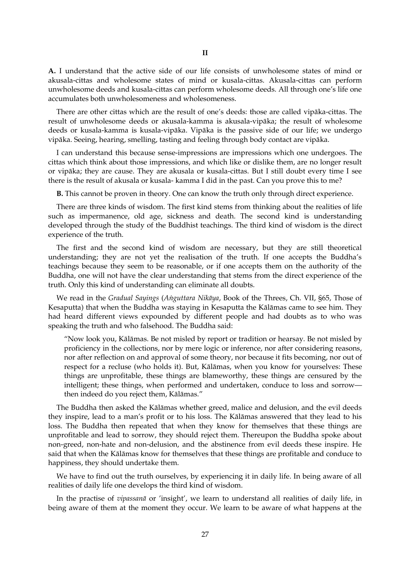**A.** I understand that the active side of our life consists of unwholesome states of mind or akusala-cittas and wholesome states of mind or kusala-cittas. Akusala-cittas can perform unwholesome deeds and kusala-cittas can perform wholesome deeds. All through one's life one accumulates both unwholesomeness and wholesomeness.

There are other cittas which are the result of one's deeds: those are called vipāka-cittas. The result of unwholesome deeds or akusala-kamma is akusala-vipāka; the result of wholesome deeds or kusala-kamma is kusala-vipāka. Vipāka is the passive side of our life; we undergo vipāka. Seeing, hearing, smelling, tasting and feeling through body contact are vipāka.

I can understand this because sense-impressions are impressions which one undergoes. The cittas which think about those impressions, and which like or dislike them, are no longer result or vipāka; they are cause. They are akusala or kusala-cittas. But I still doubt every time I see there is the result of akusala or kusala- kamma I did in the past. Can you prove this to me?

**B.** This cannot be proven in theory. One can know the truth only through direct experience.

There are three kinds of wisdom. The first kind stems from thinking about the realities of life such as impermanence, old age, sickness and death. The second kind is understanding developed through the study of the Buddhist teachings. The third kind of wisdom is the direct experience of the truth.

The first and the second kind of wisdom are necessary, but they are still theoretical understanding; they are not yet the realisation of the truth. If one accepts the Buddha's teachings because they seem to be reasonable, or if one accepts them on the authority of the Buddha, one will not have the clear understanding that stems from the direct experience of the truth. Only this kind of understanding can eliminate all doubts.

We read in the *Gradual Sayings* (*Aṅguttara Nikāya*, Book of the Threes, Ch. VII, §65, Those of Kesaputta) that when the Buddha was staying in Kesaputta the Kālāmas came to see him. They had heard different views expounded by different people and had doubts as to who was speaking the truth and who falsehood. The Buddha said:

"Now look you, Kālāmas. Be not misled by report or tradition or hearsay. Be not misled by proficiency in the collections, nor by mere logic or inference, nor after considering reasons, nor after reflection on and approval of some theory, nor because it fits becoming, nor out of respect for a recluse (who holds it). But, Kālāmas, when you know for yourselves: These things are unprofitable, these things are blameworthy, these things are censured by the intelligent; these things, when performed and undertaken, conduce to loss and sorrow then indeed do you reject them, Kālāmas."

The Buddha then asked the Kālāmas whether greed, malice and delusion, and the evil deeds they inspire, lead to a man's profit or to his loss. The Kālāmas answered that they lead to his loss. The Buddha then repeated that when they know for themselves that these things are unprofitable and lead to sorrow, they should reject them. Thereupon the Buddha spoke about non-greed, non-hate and non-delusion, and the abstinence from evil deeds these inspire. He said that when the Kālāmas know for themselves that these things are profitable and conduce to happiness, they should undertake them.

We have to find out the truth ourselves, by experiencing it in daily life. In being aware of all realities of daily life one develops the third kind of wisdom.

In the practise of *vipassanā* or 'insight', we learn to understand all realities of daily life, in being aware of them at the moment they occur. We learn to be aware of what happens at the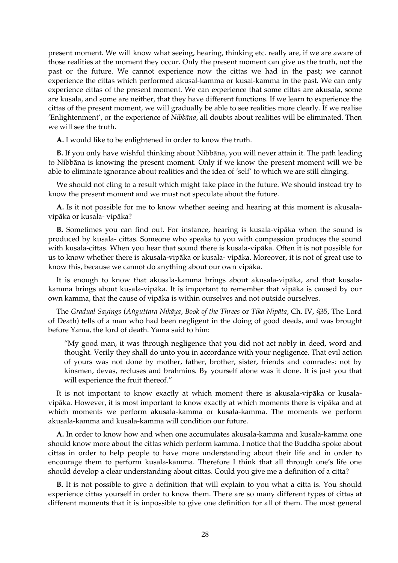present moment. We will know what seeing, hearing, thinking etc. really are, if we are aware of those realities at the moment they occur. Only the present moment can give us the truth, not the past or the future. We cannot experience now the cittas we had in the past; we cannot experience the cittas which performed akusal-kamma or kusal-kamma in the past. We can only experience cittas of the present moment. We can experience that some cittas are akusala, some are kusala, and some are neither, that they have different functions. If we learn to experience the cittas of the present moment, we will gradually be able to see realities more clearly. If we realise 'Enlightenment', or the experience of *Nibbāna*, all doubts about realities will be eliminated. Then we will see the truth.

**A.** I would like to be enlightened in order to know the truth.

**B.** If you only have wishful thinking about Nibbāna, you will never attain it. The path leading to Nibbāna is knowing the present moment. Only if we know the present moment will we be able to eliminate ignorance about realities and the idea of 'self' to which we are still clinging.

We should not cling to a result which might take place in the future. We should instead try to know the present moment and we must not speculate about the future.

**A.** Is it not possible for me to know whether seeing and hearing at this moment is akusalavipāka or kusala- vipāka?

**B.** Sometimes you can find out. For instance, hearing is kusala-vipāka when the sound is produced by kusala- cittas. Someone who speaks to you with compassion produces the sound with kusala-cittas. When you hear that sound there is kusala-vipāka. Often it is not possible for us to know whether there is akusala-vipāka or kusala- vipāka. Moreover, it is not of great use to know this, because we cannot do anything about our own vipāka.

It is enough to know that akusala-kamma brings about akusala-vipāka, and that kusalakamma brings about kusala-vipāka. It is important to remember that vipāka is caused by our own kamma, that the cause of vipāka is within ourselves and not outside ourselves.

The *Gradual Sayings* (*Aṅguttara Nikāya*, *Book of the Threes* or *Tika Nipāta*, Ch. IV, §35, The Lord of Death) tells of a man who had been negligent in the doing of good deeds, and was brought before Yama, the lord of death. Yama said to him:

"My good man, it was through negligence that you did not act nobly in deed, word and thought. Verily they shall do unto you in accordance with your negligence. That evil action of yours was not done by mother, father, brother, sister, friends and comrades: not by kinsmen, devas, recluses and brahmins. By yourself alone was it done. It is just you that will experience the fruit thereof."

It is not important to know exactly at which moment there is akusala-vipāka or kusalavipāka. However, it is most important to know exactly at which moments there is vipāka and at which moments we perform akusala-kamma or kusala-kamma. The moments we perform akusala-kamma and kusala-kamma will condition our future.

**A.** In order to know how and when one accumulates akusala-kamma and kusala-kamma one should know more about the cittas which perform kamma. I notice that the Buddha spoke about cittas in order to help people to have more understanding about their life and in order to encourage them to perform kusala-kamma. Therefore I think that all through one's life one should develop a clear understanding about cittas. Could you give me a definition of a citta?

**B.** It is not possible to give a definition that will explain to you what a citta is. You should experience cittas yourself in order to know them. There are so many different types of cittas at different moments that it is impossible to give one definition for all of them. The most general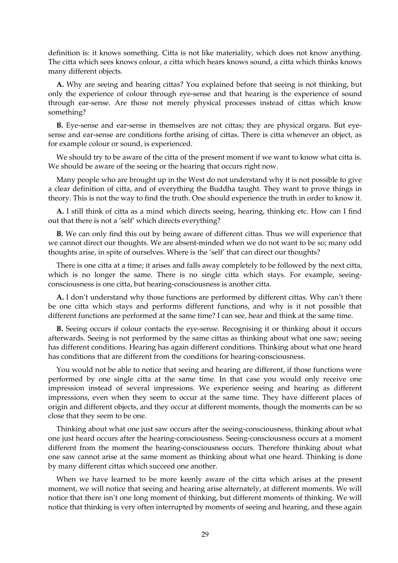definition is: it knows something. Citta is not like materiality, which does not know anything. The citta which sees knows colour, a citta which hears knows sound, a citta which thinks knows many different objects.

**A.** Why are seeing and hearing cittas? You explained before that seeing is not thinking, but only the experience of colour through eye-sense and that hearing is the experience of sound through ear-sense. Are those not merely physical processes instead of cittas which know something?

**B.** Eye-sense and ear-sense in themselves are not cittas; they are physical organs. But eyesense and ear-sense are conditions forthe arising of cittas. There is citta whenever an object, as for example colour or sound, is experienced.

We should try to be aware of the citta of the present moment if we want to know what citta is. We should be aware of the seeing or the hearing that occurs right now.

Many people who are brought up in the West do not understand why it is not possible to give a clear definition of citta, and of everything the Buddha taught. They want to prove things in theory. This is not the way to find the truth. One should experience the truth in order to know it.

**A.** I still think of citta as a mind which directs seeing, hearing, thinking etc. How can I find out that there is not a 'self' which directs everything?

**B.** We can only find this out by being aware of different cittas. Thus we will experience that we cannot direct our thoughts. We are absent-minded when we do not want to be so; many odd thoughts arise, in spite of ourselves. Where is the 'self' that can direct our thoughts?

There is one citta at a time; it arises and falls away completely to be followed by the next citta, which is no longer the same. There is no single citta which stays. For example, seeingconsciousness is one citta, but hearing-consciousness is another citta.

**A.** I don't understand why those functions are performed by different cittas. Why can't there be one citta which stays and performs different functions, and why is it not possible that different functions are performed at the same time? I can see, hear and think at the same time.

**B.** Seeing occurs if colour contacts the eye-sense. Recognising it or thinking about it occurs afterwards. Seeing is not performed by the same cittas as thinking about what one saw; seeing has different conditions. Hearing has again different conditions. Thinking about what one heard has conditions that are different from the conditions for hearing-consciousness.

You would not be able to notice that seeing and hearing are different, if those functions were performed by one single citta at the same time. In that case you would only receive one impression instead of several impressions. We experience seeing and hearing as different impressions, even when they seem to occur at the same time. They have different places of origin and different objects, and they occur at different moments, though the moments can be so close that they seem to be one.

Thinking about what one just saw occurs after the seeing-consciousness, thinking about what one just heard occurs after the hearing-consciousness. Seeing-consciousness occurs at a moment different from the moment the hearing-consciousness occurs. Therefore thinking about what one saw cannot arise at the same moment as thinking about what one heard. Thinking is done by many different cittas which succeed one another.

When we have learned to be more keenly aware of the citta which arises at the present moment, we will notice that seeing and hearing arise alternately, at different moments. We will notice that there isn't one long moment of thinking, but different moments of thinking. We will notice that thinking is very often interrupted by moments of seeing and hearing, and these again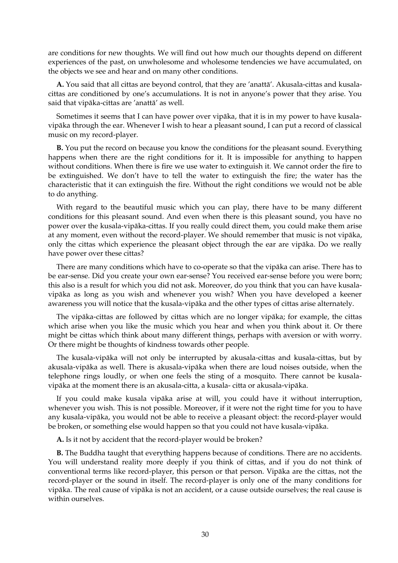are conditions for new thoughts. We will find out how much our thoughts depend on different experiences of the past, on unwholesome and wholesome tendencies we have accumulated, on the objects we see and hear and on many other conditions.

**A.** You said that all cittas are beyond control, that they are 'anattā'. Akusala-cittas and kusalacittas are conditioned by one's accumulations. It is not in anyone's power that they arise. You said that vipāka-cittas are 'anattā' as well.

Sometimes it seems that I can have power over vipāka, that it is in my power to have kusalavipāka through the ear. Whenever I wish to hear a pleasant sound, I can put a record of classical music on my record-player.

**B.** You put the record on because you know the conditions for the pleasant sound. Everything happens when there are the right conditions for it. It is impossible for anything to happen without conditions. When there is fire we use water to extinguish it. We cannot order the fire to be extinguished. We don't have to tell the water to extinguish the fire; the water has the characteristic that it can extinguish the fire. Without the right conditions we would not be able to do anything.

With regard to the beautiful music which you can play, there have to be many different conditions for this pleasant sound. And even when there is this pleasant sound, you have no power over the kusala-vipāka-cittas. If you really could direct them, you could make them arise at any moment, even without the record-player. We should remember that music is not vipāka, only the cittas which experience the pleasant object through the ear are vipāka. Do we really have power over these cittas?

There are many conditions which have to co-operate so that the vipāka can arise. There has to be ear-sense. Did you create your own ear-sense? You received ear-sense before you were born; this also is a result for which you did not ask. Moreover, do you think that you can have kusalavipāka as long as you wish and whenever you wish? When you have developed a keener awareness you will notice that the kusala-vipāka and the other types of cittas arise alternately.

The vipāka-cittas are followed by cittas which are no longer vipāka; for example, the cittas which arise when you like the music which you hear and when you think about it. Or there might be cittas which think about many different things, perhaps with aversion or with worry. Or there might be thoughts of kindness towards other people.

The kusala-vipāka will not only be interrupted by akusala-cittas and kusala-cittas, but by akusala-vipāka as well. There is akusala-vipāka when there are loud noises outside, when the telephone rings loudly, or when one feels the sting of a mosquito. There cannot be kusalavipāka at the moment there is an akusala-citta, a kusala- citta or akusala-vipāka.

If you could make kusala vipāka arise at will, you could have it without interruption, whenever you wish. This is not possible. Moreover, if it were not the right time for you to have any kusala-vipāka, you would not be able to receive a pleasant object: the record-player would be broken, or something else would happen so that you could not have kusala-vipāka.

**A.** Is it not by accident that the record-player would be broken?

**B.** The Buddha taught that everything happens because of conditions. There are no accidents. You will understand reality more deeply if you think of cittas, and if you do not think of conventional terms like record-player, this person or that person. Vipāka are the cittas, not the record-player or the sound in itself. The record-player is only one of the many conditions for vipāka. The real cause of vipāka is not an accident, or a cause outside ourselves; the real cause is within ourselves.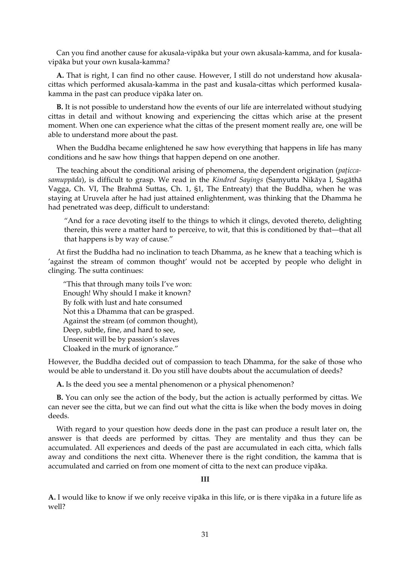Can you find another cause for akusala-vipāka but your own akusala-kamma, and for kusalavipāka but your own kusala-kamma?

**A.** That is right, I can find no other cause. However, I still do not understand how akusalacittas which performed akusala-kamma in the past and kusala-cittas which performed kusalakamma in the past can produce vipāka later on.

**B.** It is not possible to understand how the events of our life are interrelated without studying cittas in detail and without knowing and experiencing the cittas which arise at the present moment. When one can experience what the cittas of the present moment really are, one will be able to understand more about the past.

When the Buddha became enlightened he saw how everything that happens in life has many conditions and he saw how things that happen depend on one another.

The teaching about the conditional arising of phenomena, the dependent origination (*paṭiccasamuppāda*), is difficult to grasp. We read in the *Kindred Sayings* (Saṃyutta Nikāya I, Sagāthā Vagga, Ch. VI, The Brahmā Suttas, Ch. 1, §1, The Entreaty) that the Buddha, when he was staying at Uruvela after he had just attained enlightenment, was thinking that the Dhamma he had penetrated was deep, difficult to understand:

"And for a race devoting itself to the things to which it clings, devoted thereto, delighting therein, this were a matter hard to perceive, to wit, that this is conditioned by that—that all that happens is by way of cause."

At first the Buddha had no inclination to teach Dhamma, as he knew that a teaching which is 'against the stream of common thought' would not be accepted by people who delight in clinging. The sutta continues:

"This that through many toils I've won: Enough! Why should I make it known? By folk with lust and hate consumed Not this a Dhamma that can be grasped. Against the stream (of common thought), Deep, subtle, fine, and hard to see, Unseenit will be by passion's slaves Cloaked in the murk of ignorance."

However, the Buddha decided out of compassion to teach Dhamma, for the sake of those who would be able to understand it. Do you still have doubts about the accumulation of deeds?

**A.** Is the deed you see a mental phenomenon or a physical phenomenon?

**B.** You can only see the action of the body, but the action is actually performed by cittas. We can never see the citta, but we can find out what the citta is like when the body moves in doing deeds.

With regard to your question how deeds done in the past can produce a result later on, the answer is that deeds are performed by cittas. They are mentality and thus they can be accumulated. All experiences and deeds of the past are accumulated in each citta, which falls away and conditions the next citta. Whenever there is the right condition, the kamma that is accumulated and carried on from one moment of citta to the next can produce vipāka.

#### **III**

**A.** I would like to know if we only receive vipāka in this life, or is there vipāka in a future life as well?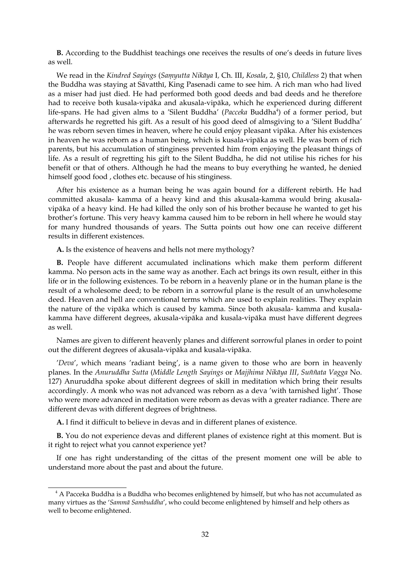**B.** According to the Buddhist teachings one receives the results of one's deeds in future lives as well.

We read in the *Kindred Sayings* (*Saṃyutta Nikāya* I*,* Ch. III, *Kosala*, 2, §10, *Childless* 2) that when the Buddha was staying at Sāvatthī, King Pasenadi came to see him. A rich man who had lived as a miser had just died. He had performed both good deeds and bad deeds and he therefore had to receive both kusala-vipāka and akusala-vipāka, which he experienced during different life-spans. He had given alms to a 'Silent Buddha' (Pacceka Buddha<sup>[4](#page-31-0)</sup>) of a former period, but afterwards he regretted his gift. As a result of his good deed of almsgiving to a 'Silent Buddha' he was reborn seven times in heaven, where he could enjoy pleasant vipāka. After his existences in heaven he was reborn as a human being, which is kusala-vipāka as well. He was born of rich parents, but his accumulation of stinginess prevented him from enjoying the pleasant things of life. As a result of regretting his gift to the Silent Buddha, he did not utilise his riches for his benefit or that of others. Although he had the means to buy everything he wanted, he denied himself good food , clothes etc. because of his stinginess.

After his existence as a human being he was again bound for a different rebirth. He had committed akusala- kamma of a heavy kind and this akusala-kamma would bring akusalavipāka of a heavy kind. He had killed the only son of his brother because he wanted to get his brother's fortune. This very heavy kamma caused him to be reborn in hell where he would stay for many hundred thousands of years. The Sutta points out how one can receive different results in different existences.

**A.** Is the existence of heavens and hells not mere mythology?

**B.** People have different accumulated inclinations which make them perform different kamma. No person acts in the same way as another. Each act brings its own result, either in this life or in the following existences. To be reborn in a heavenly plane or in the human plane is the result of a wholesome deed; to be reborn in a sorrowful plane is the result of an unwholesome deed. Heaven and hell are conventional terms which are used to explain realities. They explain the nature of the vipāka which is caused by kamma. Since both akusala- kamma and kusalakamma have different degrees, akusala-vipāka and kusala-vipāka must have different degrees as well.

Names are given to different heavenly planes and different sorrowful planes in order to point out the different degrees of akusala-vipāka and kusala-vipāka.

'*Deva*', which means 'radiant being', is a name given to those who are born in heavenly planes. In the *Anuruddha Sutta* (*Middle Length Sayings* or *Majjhima Nikāya III*, *Suññata Vagga* No. 127) Anuruddha spoke about different degrees of skill in meditation which bring their results accordingly. A monk who was not advanced was reborn as a deva 'with tarnished light'. Those who were more advanced in meditation were reborn as devas with a greater radiance. There are different devas with different degrees of brightness.

**A.** I find it difficult to believe in devas and in different planes of existence.

**B.** You do not experience devas and different planes of existence right at this moment. But is it right to reject what you cannot experience yet?

If one has right understanding of the cittas of the present moment one will be able to understand more about the past and about the future.

<span id="page-31-0"></span> $4$  A Pacceka Buddha is a Buddha who becomes enlightened by himself, but who has not accumulated as many virtues as the '*Sammā Sambuddha*', who could become enlightened by himself and help others as well to become enlightened.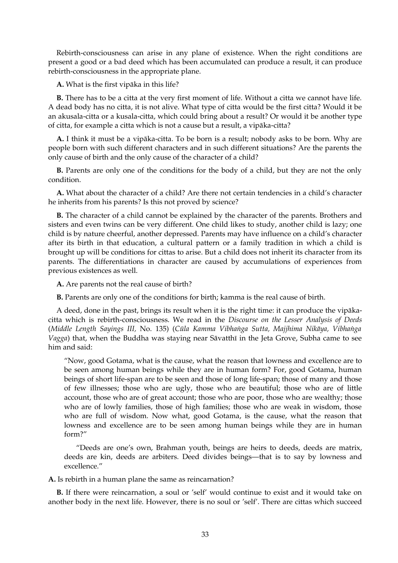Rebirth-consciousness can arise in any plane of existence. When the right conditions are present a good or a bad deed which has been accumulated can produce a result, it can produce rebirth-consciousness in the appropriate plane.

**A.** What is the first vipāka in this life?

**B.** There has to be a citta at the very first moment of life. Without a citta we cannot have life. A dead body has no citta, it is not alive. What type of citta would be the first citta? Would it be an akusala-citta or a kusala-citta, which could bring about a result? Or would it be another type of citta, for example a citta which is not a cause but a result, a vipāka-citta?

**A.** I think it must be a vipāka-citta. To be born is a result; nobody asks to be born. Why are people born with such different characters and in such different situations? Are the parents the only cause of birth and the only cause of the character of a child?

**B.** Parents are only one of the conditions for the body of a child, but they are not the only condition.

**A.** What about the character of a child? Are there not certain tendencies in a child's character he inherits from his parents? Is this not proved by science?

**B.** The character of a child cannot be explained by the character of the parents. Brothers and sisters and even twins can be very different. One child likes to study, another child is lazy; one child is by nature cheerful, another depressed. Parents may have influence on a child's character after its birth in that education, a cultural pattern or a family tradition in which a child is brought up will be conditions for cittas to arise. But a child does not inherit its character from its parents. The differentiations in character are caused by accumulations of experiences from previous existences as well.

**A.** Are parents not the real cause of birth?

**B.** Parents are only one of the conditions for birth; kamma is the real cause of birth.

A deed, done in the past, brings its result when it is the right time: it can produce the vipākacitta which is rebirth-consciousness. We read in the *Discourse on the Lesser Analysis of Deeds* (*Middle Length Sayings III,* No. 135) (*Cūla Kamma Vibhaṅga Sutta, Majjhima Nikāya, Vibhaṅga Vagga*) that, when the Buddha was staying near Sāvatthī in the Jeta Grove, Subha came to see him and said:

"Now, good Gotama, what is the cause, what the reason that lowness and excellence are to be seen among human beings while they are in human form? For, good Gotama, human beings of short life-span are to be seen and those of long life-span; those of many and those of few illnesses; those who are ugly, those who are beautiful; those who are of little account, those who are of great account; those who are poor, those who are wealthy; those who are of lowly families, those of high families; those who are weak in wisdom, those who are full of wisdom. Now what, good Gotama, is the cause, what the reason that lowness and excellence are to be seen among human beings while they are in human form?"

"Deeds are one's own, Brahman youth, beings are heirs to deeds, deeds are matrix, deeds are kin, deeds are arbiters. Deed divides beings—that is to say by lowness and excellence."

**A.** Is rebirth in a human plane the same as reincarnation?

**B.** If there were reincarnation, a soul or 'self' would continue to exist and it would take on another body in the next life. However, there is no soul or 'self'. There are cittas which succeed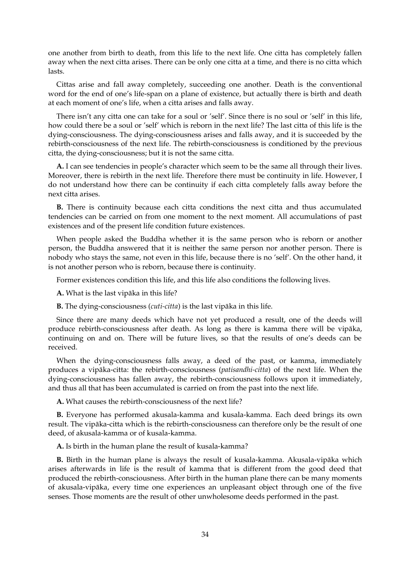one another from birth to death, from this life to the next life. One citta has completely fallen away when the next citta arises. There can be only one citta at a time, and there is no citta which lasts.

Cittas arise and fall away completely, succeeding one another. Death is the conventional word for the end of one's life-span on a plane of existence, but actually there is birth and death at each moment of one's life, when a citta arises and falls away.

There isn't any citta one can take for a soul or 'self'. Since there is no soul or 'self' in this life, how could there be a soul or 'self' which is reborn in the next life? The last citta of this life is the dying-consciousness. The dying-consciousness arises and falls away, and it is succeeded by the rebirth-consciousness of the next life. The rebirth-consciousness is conditioned by the previous citta, the dying-consciousness; but it is not the same citta.

**A.** I can see tendencies in people's character which seem to be the same all through their lives. Moreover, there is rebirth in the next life. Therefore there must be continuity in life. However, I do not understand how there can be continuity if each citta completely falls away before the next citta arises.

**B.** There is continuity because each citta conditions the next citta and thus accumulated tendencies can be carried on from one moment to the next moment. All accumulations of past existences and of the present life condition future existences.

When people asked the Buddha whether it is the same person who is reborn or another person, the Buddha answered that it is neither the same person nor another person. There is nobody who stays the same, not even in this life, because there is no 'self'. On the other hand, it is not another person who is reborn, because there is continuity.

Former existences condition this life, and this life also conditions the following lives.

**A.** What is the last vipāka in this life?

**B.** The dying-consciousness (*cuti-citta*) is the last vipāka in this life.

Since there are many deeds which have not yet produced a result, one of the deeds will produce rebirth-consciousness after death. As long as there is kamma there will be vipāka, continuing on and on. There will be future lives, so that the results of one's deeds can be received.

When the dying-consciousness falls away, a deed of the past, or kamma, immediately produces a vipāka-citta: the rebirth-consciousness (*patisandhi-citta*) of the next life. When the dying-consciousness has fallen away, the rebirth-consciousness follows upon it immediately, and thus all that has been accumulated is carried on from the past into the next life.

**A.** What causes the rebirth-consciousness of the next life?

**B.** Everyone has performed akusala-kamma and kusala-kamma. Each deed brings its own result. The vipāka-citta which is the rebirth-consciousness can therefore only be the result of one deed, of akusala-kamma or of kusala-kamma.

**A.** Is birth in the human plane the result of kusala-kamma?

**B.** Birth in the human plane is always the result of kusala-kamma. Akusala-vipāka which arises afterwards in life is the result of kamma that is different from the good deed that produced the rebirth-consciousness. After birth in the human plane there can be many moments of akusala-vipāka, every time one experiences an unpleasant object through one of the five senses. Those moments are the result of other unwholesome deeds performed in the past.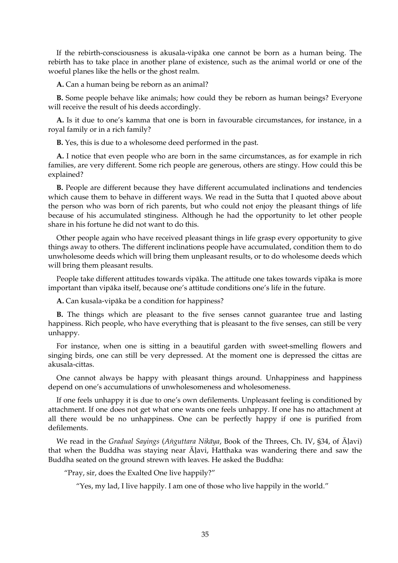If the rebirth-consciousness is akusala-vipāka one cannot be born as a human being. The rebirth has to take place in another plane of existence, such as the animal world or one of the woeful planes like the hells or the ghost realm.

**A.** Can a human being be reborn as an animal?

**B.** Some people behave like animals; how could they be reborn as human beings? Everyone will receive the result of his deeds accordingly.

**A.** Is it due to one's kamma that one is born in favourable circumstances, for instance, in a royal family or in a rich family?

**B.** Yes, this is due to a wholesome deed performed in the past.

**A.** I notice that even people who are born in the same circumstances, as for example in rich families, are very different. Some rich people are generous, others are stingy. How could this be explained?

**B.** People are different because they have different accumulated inclinations and tendencies which cause them to behave in different ways. We read in the Sutta that I quoted above about the person who was born of rich parents, but who could not enjoy the pleasant things of life because of his accumulated stinginess. Although he had the opportunity to let other people share in his fortune he did not want to do this.

Other people again who have received pleasant things in life grasp every opportunity to give things away to others. The different inclinations people have accumulated, condition them to do unwholesome deeds which will bring them unpleasant results, or to do wholesome deeds which will bring them pleasant results.

People take different attitudes towards vipāka. The attitude one takes towards vipāka is more important than vipāka itself, because one's attitude conditions one's life in the future.

**A.** Can kusala-vipāka be a condition for happiness?

**B.** The things which are pleasant to the five senses cannot guarantee true and lasting happiness. Rich people, who have everything that is pleasant to the five senses, can still be very unhappy.

For instance, when one is sitting in a beautiful garden with sweet-smelling flowers and singing birds, one can still be very depressed. At the moment one is depressed the cittas are akusala-cittas.

One cannot always be happy with pleasant things around. Unhappiness and happiness depend on one's accumulations of unwholesomeness and wholesomeness.

If one feels unhappy it is due to one's own defilements. Unpleasant feeling is conditioned by attachment. If one does not get what one wants one feels unhappy. If one has no attachment at all there would be no unhappiness. One can be perfectly happy if one is purified from defilements.

We read in the *Gradual Sayings* (*Aṅguttara Nikāya*, Book of the Threes, Ch. IV, §34, of Āḷavi) that when the Buddha was staying near Āḷavi, Hatthaka was wandering there and saw the Buddha seated on the ground strewn with leaves. He asked the Buddha:

"Pray, sir, does the Exalted One live happily?"

"Yes, my lad, I live happily. I am one of those who live happily in the world."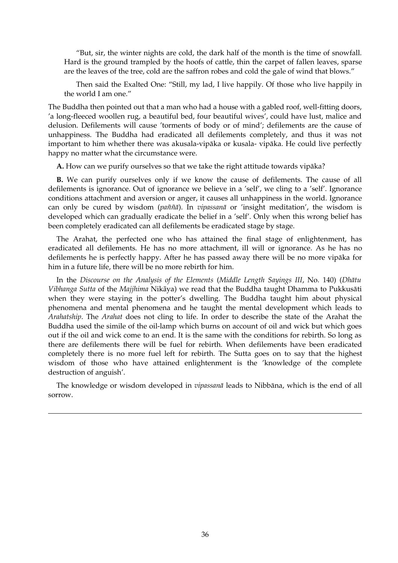"But, sir, the winter nights are cold, the dark half of the month is the time of snowfall. Hard is the ground trampled by the hoofs of cattle, thin the carpet of fallen leaves, sparse are the leaves of the tree, cold are the saffron robes and cold the gale of wind that blows."

Then said the Exalted One: "Still, my lad, I live happily. Of those who live happily in the world I am one."

The Buddha then pointed out that a man who had a house with a gabled roof, well-fitting doors, 'a long-fleeced woollen rug, a beautiful bed, four beautiful wives', could have lust, malice and delusion. Defilements will cause 'torments of body or of mind'; defilements are the cause of unhappiness. The Buddha had eradicated all defilements completely, and thus it was not important to him whether there was akusala-vipāka or kusala- vipāka. He could live perfectly happy no matter what the circumstance were.

**A.** How can we purify ourselves so that we take the right attitude towards vipāka?

**B.** We can purify ourselves only if we know the cause of defilements. The cause of all defilements is ignorance. Out of ignorance we believe in a 'self', we cling to a 'self'. Ignorance conditions attachment and aversion or anger, it causes all unhappiness in the world. Ignorance can only be cured by wisdom (*paññā*). In *vipassanā* or 'insight meditation', the wisdom is developed which can gradually eradicate the belief in a 'self'. Only when this wrong belief has been completely eradicated can all defilements be eradicated stage by stage.

The Arahat, the perfected one who has attained the final stage of enlightenment, has eradicated all defilements. He has no more attachment, ill will or ignorance. As he has no defilements he is perfectly happy. After he has passed away there will be no more vipāka for him in a future life, there will be no more rebirth for him.

In the *Discourse on the Analysis of the Elements* (*Middle Length Sayings III*, No. 140) (*Dhātu Vibhanga Sutta* of the *Majjhima* Nikāya) we read that the Buddha taught Dhamma to Pukkusāti when they were staying in the potter's dwelling. The Buddha taught him about physical phenomena and mental phenomena and he taught the mental development which leads to *Arahatship*. The *Arahat* does not cling to life. In order to describe the state of the Arahat the Buddha used the simile of the oil-lamp which burns on account of oil and wick but which goes out if the oil and wick come to an end. It is the same with the conditions for rebirth. So long as there are defilements there will be fuel for rebirth. When defilements have been eradicated completely there is no more fuel left for rebirth. The Sutta goes on to say that the highest wisdom of those who have attained enlightenment is the 'knowledge of the complete destruction of anguish'.

The knowledge or wisdom developed in *vipassanā* leads to Nibbāna, which is the end of all sorrow.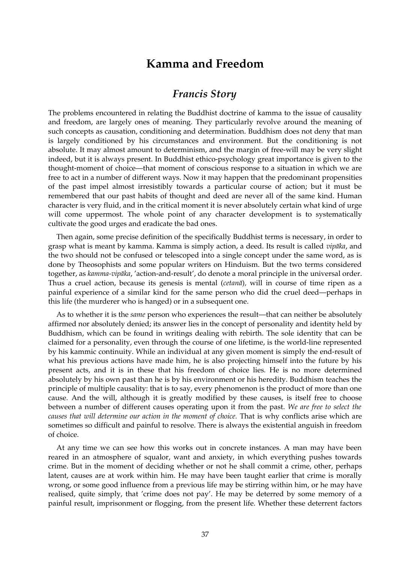### <span id="page-36-0"></span>**Kamma and Freedom**

### *Francis Story*

The problems encountered in relating the Buddhist doctrine of kamma to the issue of causality and freedom, are largely ones of meaning. They particularly revolve around the meaning of such concepts as causation, conditioning and determination. Buddhism does not deny that man is largely conditioned by his circumstances and environment. But the conditioning is not absolute. It may almost amount to determinism, and the margin of free-will may be very slight indeed, but it is always present. In Buddhist ethico-psychology great importance is given to the thought-moment of choice—that moment of conscious response to a situation in which we are free to act in a number of different ways. Now it may happen that the predominant propensities of the past impel almost irresistibly towards a particular course of action; but it must be remembered that our past habits of thought and deed are never all of the same kind. Human character is very fluid, and in the critical moment it is never absolutely certain what kind of urge will come uppermost. The whole point of any character development is to systematically cultivate the good urges and eradicate the bad ones.

Then again, some precise definition of the specifically Buddhist terms is necessary, in order to grasp what is meant by kamma. Kamma is simply action, a deed. Its result is called *vipāka*, and the two should not be confused or telescoped into a single concept under the same word, as is done by Theosophists and some popular writers on Hinduism. But the two terms considered together, as *kamma-vipāka*, 'action-and-result', do denote a moral principle in the universal order. Thus a cruel action, because its genesis is mental (*cetanā*)*,* will in course of time ripen as a painful experience of a similar kind for the same person who did the cruel deed—perhaps in this life (the murderer who is hanged) or in a subsequent one.

As to whether it is the *same* person who experiences the result—that can neither be absolutely affirmed nor absolutely denied; its answer lies in the concept of personality and identity held by Buddhism, which can be found in writings dealing with rebirth. The sole identity that can be claimed for a personality, even through the course of one lifetime, is the world-line represented by his kammic continuity. While an individual at any given moment is simply the end-result of what his previous actions have made him, he is also projecting himself into the future by his present acts, and it is in these that his freedom of choice lies. He is no more determined absolutely by his own past than he is by his environment or his heredity. Buddhism teaches the principle of multiple causality: that is to say, every phenomenon is the product of more than one cause. And the will, although it is greatly modified by these causes, is itself free to choose between a number of different causes operating upon it from the past. *We are free to select the causes that will determine our action in the moment of choice.* That is why conflicts arise which are sometimes so difficult and painful to resolve. There is always the existential anguish in freedom of choice.

At any time we can see how this works out in concrete instances. A man may have been reared in an atmosphere of squalor, want and anxiety, in which everything pushes towards crime. But in the moment of deciding whether or not he shall commit a crime, other, perhaps latent, causes are at work within him. He may have been taught earlier that crime is morally wrong, or some good influence from a previous life may be stirring within him, or he may have realised, quite simply, that 'crime does not pay'. He may be deterred by some memory of a painful result, imprisonment or flogging, from the present life. Whether these deterrent factors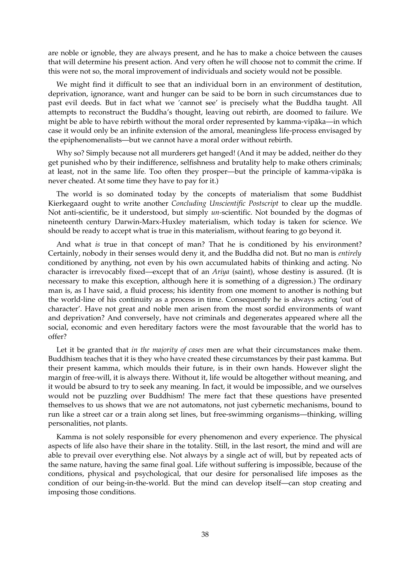are noble or ignoble, they are always present, and he has to make a choice between the causes that will determine his present action. And very often he will choose not to commit the crime. If this were not so, the moral improvement of individuals and society would not be possible.

We might find it difficult to see that an individual born in an environment of destitution, deprivation, ignorance, want and hunger can be said to be born in such circumstances due to past evil deeds. But in fact what we 'cannot see' is precisely what the Buddha taught. All attempts to reconstruct the Buddha's thought, leaving out rebirth, are doomed to failure. We might be able to have rebirth without the moral order represented by kamma-vipāka—in which case it would only be an infinite extension of the amoral, meaningless life-process envisaged by the epiphenomenalists—but we cannot have a moral order without rebirth.

Why so? Simply because not all murderers get hanged! (And it may be added, neither do they get punished who by their indifference, selfishness and brutality help to make others criminals; at least, not in the same life. Too often they prosper—but the principle of kamma-vipāka is never cheated. At some time they have to pay for it.)

The world is so dominated today by the concepts of materialism that some Buddhist Kierkegaard ought to write another *Concluding Unscientific Postscript* to clear up the muddle. Not anti-scientific, be it understood, but simply *un-*scientific. Not bounded by the dogmas of nineteenth century Darwin-Marx-Huxley materialism, which today is taken for science. We should be ready to accept what is true in this materialism, without fearing to go beyond it.

And what *is* true in that concept of man? That he is conditioned by his environment? Certainly, nobody in their senses would deny it, and the Buddha did not. But no man is *entirely* conditioned by anything, not even by his own accumulated habits of thinking and acting. No character is irrevocably fixed—except that of an *Ariya* (saint), whose destiny is assured. (It is necessary to make this exception, although here it is something of a digression.) The ordinary man is, as I have said, a fluid process; his identity from one moment to another is nothing but the world-line of his continuity as a process in time. Consequently he is always acting 'out of character'. Have not great and noble men arisen from the most sordid environments of want and deprivation? And conversely, have not criminals and degenerates appeared where all the social, economic and even hereditary factors were the most favourable that the world has to offer?

Let it be granted that *in the majority of cases* men are what their circumstances make them. Buddhism teaches that it is they who have created these circumstances by their past kamma. But their present kamma, which moulds their future, is in their own hands. However slight the margin of free-will, it is always there. Without it, life would be altogether without meaning, and it would be absurd to try to seek any meaning. In fact, it would be impossible, and we ourselves would not be puzzling over Buddhism! The mere fact that these questions have presented themselves to us shows that we are not automatons, not just cybernetic mechanisms, bound to run like a street car or a train along set lines, but free-swimming organisms—thinking, willing personalities, not plants.

Kamma is not solely responsible for every phenomenon and every experience. The physical aspects of life also have their share in the totality. Still, in the last resort, the mind and will are able to prevail over everything else. Not always by a single act of will, but by repeated acts of the same nature, having the same final goal. Life without suffering is impossible, because of the conditions, physical and psychological, that our desire for personalised life imposes as the condition of our being-in-the-world. But the mind can develop itself—can stop creating and imposing those conditions.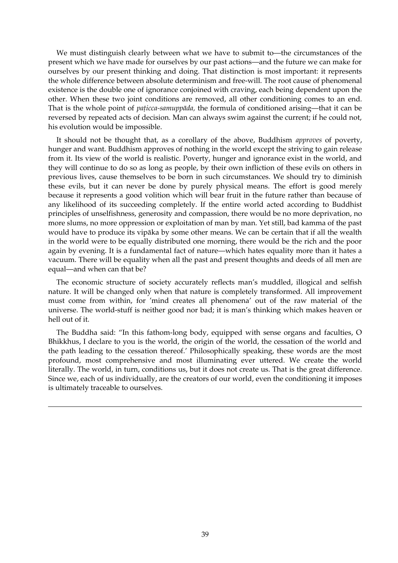We must distinguish clearly between what we have to submit to—the circumstances of the present which we have made for ourselves by our past actions—and the future we can make for ourselves by our present thinking and doing. That distinction is most important: it represents the whole difference between absolute determinism and free-will. The root cause of phenomenal existence is the double one of ignorance conjoined with craving, each being dependent upon the other. When these two joint conditions are removed, all other conditioning comes to an end. That is the whole point of *paṭicca-samuppāda,* the formula of conditioned arising—that it can be reversed by repeated acts of decision. Man can always swim against the current; if he could not, his evolution would be impossible.

It should not be thought that, as a corollary of the above, Buddhism *approves* of poverty, hunger and want. Buddhism approves of nothing in the world except the striving to gain release from it. Its view of the world is realistic. Poverty, hunger and ignorance exist in the world, and they will continue to do so as long as people, by their own infliction of these evils on others in previous lives, cause themselves to be born in such circumstances. We should try to diminish these evils, but it can never be done by purely physical means. The effort is good merely because it represents a good volition which will bear fruit in the future rather than because of any likelihood of its succeeding completely. If the entire world acted according to Buddhist principles of unselfishness, generosity and compassion, there would be no more deprivation, no more slums, no more oppression or exploitation of man by man. Yet still, bad kamma of the past would have to produce its vipāka by some other means. We can be certain that if all the wealth in the world were to be equally distributed one morning, there would be the rich and the poor again by evening. It is a fundamental fact of nature—which hates equality more than it hates a vacuum. There will be equality when all the past and present thoughts and deeds of all men are equal—and when can that be?

The economic structure of society accurately reflects man's muddled, illogical and selfish nature. It will be changed only when that nature is completely transformed. All improvement must come from within, for 'mind creates all phenomena' out of the raw material of the universe. The world-stuff is neither good nor bad; it is man's thinking which makes heaven or hell out of it.

The Buddha said: "In this fathom-long body, equipped with sense organs and faculties, O Bhikkhus, I declare to you is the world, the origin of the world, the cessation of the world and the path leading to the cessation thereof.' Philosophically speaking, these words are the most profound, most comprehensive and most illuminating ever uttered. We create the world literally. The world, in turn, conditions us, but it does not create us. That is the great difference. Since we, each of us individually, are the creators of our world, even the conditioning it imposes is ultimately traceable to ourselves.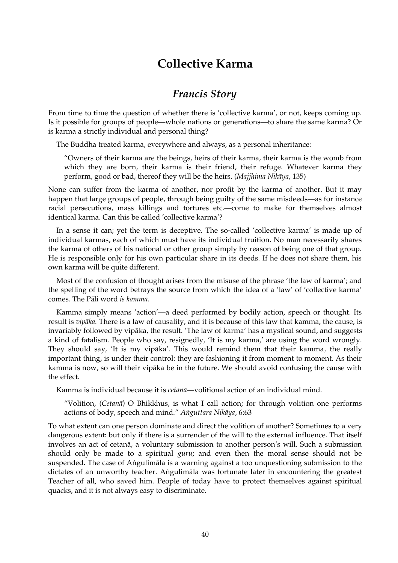## <span id="page-39-0"></span>**Collective Karma**

### *Francis Story*

From time to time the question of whether there is 'collective karma', or not, keeps coming up. Is it possible for groups of people—whole nations or generations—to share the same karma? Or is karma a strictly individual and personal thing?

The Buddha treated karma, everywhere and always, as a personal inheritance:

"Owners of their karma are the beings, heirs of their karma, their karma is the womb from which they are born, their karma is their friend, their refuge. Whatever karma they perform, good or bad, thereof they will be the heirs. (*Majjhima Nikāya*, 135)

None can suffer from the karma of another, nor profit by the karma of another. But it may happen that large groups of people, through being guilty of the same misdeeds—as for instance racial persecutions, mass killings and tortures etc.—come to make for themselves almost identical karma. Can this be called 'collective karma'?

In a sense it can; yet the term is deceptive. The so-called 'collective karma' is made up of individual karmas, each of which must have its individual fruition. No man necessarily shares the karma of others of his national or other group simply by reason of being one of that group. He is responsible only for his own particular share in its deeds. If he does not share them, his own karma will be quite different.

Most of the confusion of thought arises from the misuse of the phrase 'the law of karma'; and the spelling of the word betrays the source from which the idea of a 'law' of 'collective karma' comes. The Pāli word *is kamma.*

Kamma simply means 'action'—a deed performed by bodily action, speech or thought. Its result is *vipāka.* There is a law of causality, and it is because of this law that kamma, the cause, is invariably followed by vipāka, the result. 'The law of karma' has a mystical sound, and suggests a kind of fatalism. People who say, resignedly, 'It is my karma,' are using the word wrongly. They should say, 'It is my vipāka'. This would remind them that their kamma*,* the really important thing, is under their control: they are fashioning it from moment to moment. As their kamma is now, so will their vipāka be in the future. We should avoid confusing the cause with the effect.

Kamma is individual because it is *cetanā*—volitional action of an individual mind.

"Volition, (*Cetanā*) O Bhikkhus, is what I call action; for through volition one performs actions of body, speech and mind." *Aṅguttara Nikāya*, 6:63

To what extent can one person dominate and direct the volition of another? Sometimes to a very dangerous extent: but only if there is a surrender of the will to the external influence. That itself involves an act of cetanā, a voluntary submission to another person's will. Such a submission should only be made to a spiritual *guru*; and even then the moral sense should not be suspended. The case of Aṅgulimāla is a warning against a too unquestioning submission to the dictates of an unworthy teacher. Aṅgulimāla was fortunate later in encountering the greatest Teacher of all, who saved him. People of today have to protect themselves against spiritual quacks, and it is not always easy to discriminate.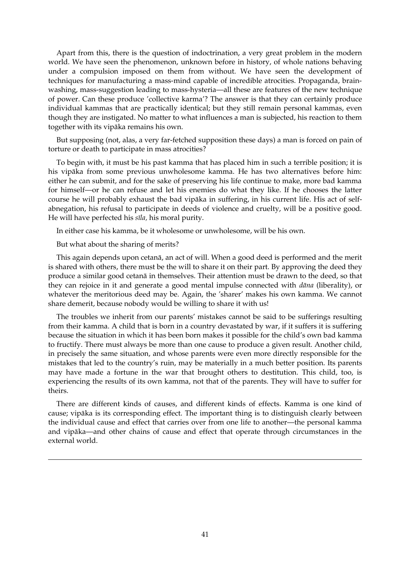Apart from this, there is the question of indoctrination, a very great problem in the modern world. We have seen the phenomenon, unknown before in history, of whole nations behaving under a compulsion imposed on them from without. We have seen the development of techniques for manufacturing a mass-mind capable of incredible atrocities. Propaganda, brainwashing, mass-suggestion leading to mass-hysteria—all these are features of the new technique of power. Can these produce 'collective karma'? The answer is that they can certainly produce individual kammas that are practically identical; but they still remain personal kammas, even though they are instigated. No matter to what influences a man is subjected, his reaction to them together with its vipāka remains his own.

But supposing (not, alas, a very far-fetched supposition these days) a man is forced on pain of torture or death to participate in mass atrocities?

To begin with, it must be his past kamma that has placed him in such a terrible position; it is his vipāka from some previous unwholesome kamma. He has two alternatives before him: either he can submit, and for the sake of preserving his life continue to make, more bad kamma for himself—or he can refuse and let his enemies do what they like. If he chooses the latter course he will probably exhaust the bad vipāka in suffering, in his current life. His act of selfabnegation, his refusal to participate in deeds of violence and cruelty, will be a positive good. He will have perfected his *sīla,* his moral purity.

In either case his kamma, be it wholesome or unwholesome, will be his own.

But what about the sharing of merits?

This again depends upon cetanā, an act of will. When a good deed is performed and the merit is shared with others, there must be the will to share it on their part. By approving the deed they produce a similar good cetanā in themselves. Their attention must be drawn to the deed, so that they can rejoice in it and generate a good mental impulse connected with *dāna* (liberality), or whatever the meritorious deed may be. Again, the 'sharer' makes his own kamma. We cannot share demerit, because nobody would be willing to share it with us!

The troubles we inherit from our parents' mistakes cannot be said to be sufferings resulting from their kamma. A child that is born in a country devastated by war, if it suffers it is suffering because the situation in which it has been born makes it possible for the child's own bad kamma to fructify. There must always be more than one cause to produce a given result. Another child, in precisely the same situation, and whose parents were even more directly responsible for the mistakes that led to the country's ruin, may be materially in a much better position. Its parents may have made a fortune in the war that brought others to destitution. This child, too, is experiencing the results of its own kamma, not that of the parents. They will have to suffer for theirs.

There are different kinds of causes, and different kinds of effects. Kamma is one kind of cause; vipāka is its corresponding effect. The important thing is to distinguish clearly between the individual cause and effect that carries over from one life to another—the personal kamma and vipāka—and other chains of cause and effect that operate through circumstances in the external world.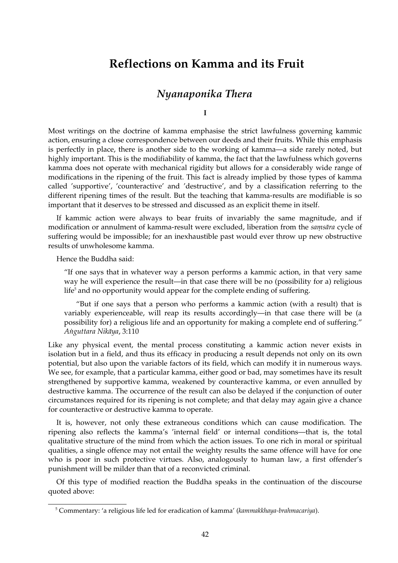## <span id="page-41-0"></span> **Reflections on Kamma and its Fruit**

### *Nyanaponika Thera*

**I**

Most writings on the doctrine of kamma emphasise the strict lawfulness governing kammic action, ensuring a close correspondence between our deeds and their fruits. While this emphasis is perfectly in place, there is another side to the working of kamma—a side rarely noted, but highly important. This is the modifiability of kamma, the fact that the lawfulness which governs kamma does not operate with mechanical rigidity but allows for a considerably wide range of modifications in the ripening of the fruit. This fact is already implied by those types of kamma called 'supportive', 'counteractive' and 'destructive', and by a classification referring to the different ripening times of the result. But the teaching that kamma-results are modifiable is so important that it deserves to be stressed and discussed as an explicit theme in itself.

If kammic action were always to bear fruits of invariably the same magnitude, and if modification or annulment of kamma-result were excluded, liberation from the *saṃsāra* cycle of suffering would be impossible; for an inexhaustible past would ever throw up new obstructive results of unwholesome kamma.

Hence the Buddha said:

"If one says that in whatever way a person performs a kammic action, in that very same way he will experience the result—in that case there will be no (possibility for a) religious life<sup>[5](#page-41-1)</sup> and no opportunity would appear for the complete ending of suffering.

"But if one says that a person who performs a kammic action (with a result) that is variably experienceable, will reap its results accordingly—in that case there will be (a possibility for) a religious life and an opportunity for making a complete end of suffering." *Aṅguttara Nikāya*, 3:110

Like any physical event, the mental process constituting a kammic action never exists in isolation but in a field, and thus its efficacy in producing a result depends not only on its own potential, but also upon the variable factors of its field, which can modify it in numerous ways. We see, for example, that a particular kamma, either good or bad, may sometimes have its result strengthened by supportive kamma, weakened by counteractive kamma, or even annulled by destructive kamma. The occurrence of the result can also be delayed if the conjunction of outer circumstances required for its ripening is not complete; and that delay may again give a chance for counteractive or destructive kamma to operate.

It is, however, not only these extraneous conditions which can cause modification. The ripening also reflects the kamma's 'internal field' or internal conditions—that is, the total qualitative structure of the mind from which the action issues. To one rich in moral or spiritual qualities, a single offence may not entail the weighty results the same offence will have for one who is poor in such protective virtues. Also, analogously to human law, a first offender's punishment will be milder than that of a reconvicted criminal.

Of this type of modified reaction the Buddha speaks in the continuation of the discourse quoted above:

<span id="page-41-1"></span><sup>5</sup> Commentary: 'a religious life led for eradication of kamma' (*kammakkhaya-brahmacariya*).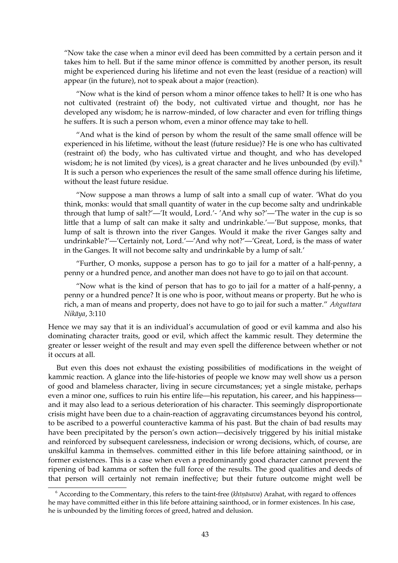"Now take the case when a minor evil deed has been committed by a certain person and it takes him to hell. But if the same minor offence is committed by another person, its result might be experienced during his lifetime and not even the least (residue of a reaction) will appear (in the future), not to speak about a major (reaction).

"Now what is the kind of person whom a minor offence takes to hell? It is one who has not cultivated (restraint of) the body, not cultivated virtue and thought, nor has he developed any wisdom; he is narrow-minded, of low character and even for trifling things he suffers. It is such a person whom, even a minor offence may take to hell.

"And what is the kind of person by whom the result of the same small offence will be experienced in his lifetime, without the least (future residue)? He is one who has cultivated (restraint of) the body, who has cultivated virtue and thought, and who has developed wisdom; he is not limited (by vices), is a great character and he lives unbounded (by evil). $<sup>6</sup>$  $<sup>6</sup>$  $<sup>6</sup>$ </sup> It is such a person who experiences the result of the same small offence during his lifetime, without the least future residue.

"Now suppose a man throws a lump of salt into a small cup of water. 'What do you think, monks: would that small quantity of water in the cup become salty and undrinkable through that lump of salt?'—'It would, Lord.'- 'And why so?'—'The water in the cup is so little that a lump of salt can make it salty and undrinkable.'—'But suppose, monks, that lump of salt is thrown into the river Ganges. Would it make the river Ganges salty and undrinkable?'—'Certainly not, Lord.'—'And why not?'—'Great, Lord, is the mass of water in the Ganges. It will not become salty and undrinkable by a lump of salt.'

"Further, O monks, suppose a person has to go to jail for a matter of a half-penny, a penny or a hundred pence, and another man does not have to go to jail on that account.

"Now what is the kind of person that has to go to jail for a matter of a half-penny, a penny or a hundred pence? It is one who is poor, without means or property. But he who is rich, a man of means and property, does not have to go to jail for such a matter." *Aṅguttara Nikāya*, 3:110

Hence we may say that it is an individual's accumulation of good or evil kamma and also his dominating character traits, good or evil, which affect the kammic result. They determine the greater or lesser weight of the result and may even spell the difference between whether or not it occurs at all.

But even this does not exhaust the existing possibilities of modifications in the weight of kammic reaction. A glance into the life-histories of people we know may well show us a person of good and blameless character, living in secure circumstances; yet a single mistake, perhaps even a minor one, suffices to ruin his entire life—his reputation, his career, and his happiness and it may also lead to a serious deterioration of his character. This seemingly disproportionate crisis might have been due to a chain-reaction of aggravating circumstances beyond his control, to be ascribed to a powerful counteractive kamma of his past. But the chain of bad results may have been precipitated by the person's own action—decisively triggered by his initial mistake and reinforced by subsequent carelessness, indecision or wrong decisions, which, of course, are unskilful kamma in themselves. committed either in this life before attaining sainthood, or in former existences. This is a case when even a predominantly good character cannot prevent the ripening of bad kamma or soften the full force of the results. The good qualities and deeds of that person will certainly not remain ineffective; but their future outcome might well be

<span id="page-42-0"></span><sup>6</sup> According to the Commentary, this refers to the taint-free (*khīṇāsava*) Arahat, with regard to offences he may have committed either in this life before attaining sainthood, or in former existences. In his case, he is unbounded by the limiting forces of greed, hatred and delusion.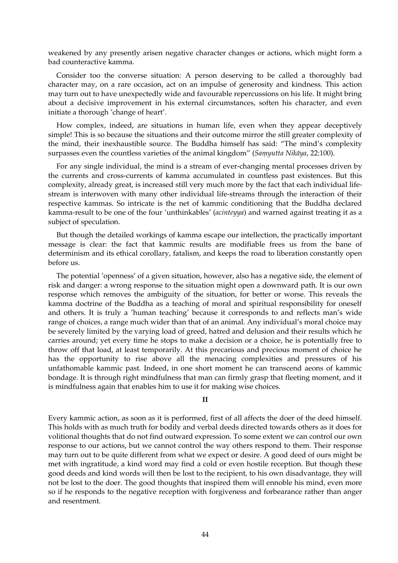weakened by any presently arisen negative character changes or actions, which might form a bad counteractive kamma.

Consider too the converse situation: A person deserving to be called a thoroughly bad character may, on a rare occasion, act on an impulse of generosity and kindness. This action may turn out to have unexpectedly wide and favourable repercussions on his life. It might bring about a decisive improvement in his external circumstances, soften his character, and even initiate a thorough 'change of heart'.

How complex, indeed, are situations in human life, even when they appear deceptively simple! This is so because the situations and their outcome mirror the still greater complexity of the mind, their inexhaustible source. The Buddha himself has said: "The mind's complexity surpasses even the countless varieties of the animal kingdom" (*Saṃyutta Nikāya*, 22:100).

For any single individual, the mind is a stream of ever-changing mental processes driven by the currents and cross-currents of kamma accumulated in countless past existences. But this complexity, already great, is increased still very much more by the fact that each individual lifestream is interwoven with many other individual life-streams through the interaction of their respective kammas. So intricate is the net of kammic conditioning that the Buddha declared kamma-result to be one of the four 'unthinkables' (*acinteyya*) and warned against treating it as a subject of speculation.

But though the detailed workings of kamma escape our intellection, the practically important message is clear: the fact that kammic results are modifiable frees us from the bane of determinism and its ethical corollary, fatalism, and keeps the road to liberation constantly open before us.

The potential 'openness' of a given situation, however, also has a negative side, the element of risk and danger: a wrong response to the situation might open a downward path. It is our own response which removes the ambiguity of the situation, for better or worse. This reveals the kamma doctrine of the Buddha as a teaching of moral and spiritual responsibility for oneself and others. It is truly a 'human teaching' because it corresponds to and reflects man's wide range of choices, a range much wider than that of an animal. Any individual's moral choice may be severely limited by the varying load of greed, hatred and delusion and their results which he carries around; yet every time he stops to make a decision or a choice, he is potentially free to throw off that load, at least temporarily. At this precarious and precious moment of choice he has the opportunity to rise above all the menacing complexities and pressures of his unfathomable kammic past. Indeed, in one short moment he can transcend aeons of kammic bondage. It is through right mindfulness that man can firmly grasp that fleeting moment, and it is mindfulness again that enables him to use it for making wise choices.

#### **II**

Every kammic action, as soon as it is performed, first of all affects the doer of the deed himself. This holds with as much truth for bodily and verbal deeds directed towards others as it does for volitional thoughts that do not find outward expression. To some extent we can control our own response to our actions, but we cannot control the way others respond to them. Their response may turn out to be quite different from what we expect or desire. A good deed of ours might be met with ingratitude, a kind word may find a cold or even hostile reception. But though these good deeds and kind words will then be lost to the recipient, to his own disadvantage, they will not be lost to the doer. The good thoughts that inspired them will ennoble his mind, even more so if he responds to the negative reception with forgiveness and forbearance rather than anger and resentment.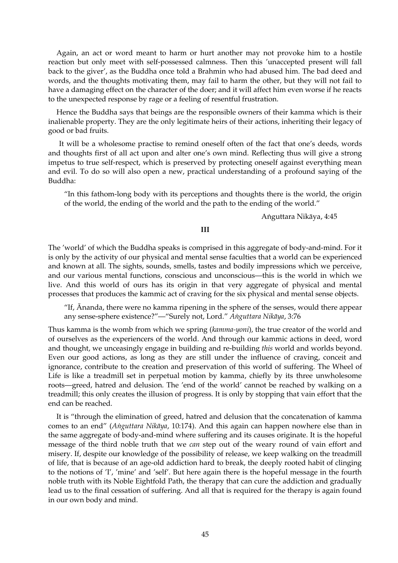Again, an act or word meant to harm or hurt another may not provoke him to a hostile reaction but only meet with self-possessed calmness. Then this 'unaccepted present will fall back to the giver', as the Buddha once told a Brahmin who had abused him. The bad deed and words, and the thoughts motivating them, may fail to harm the other, but they will not fail to have a damaging effect on the character of the doer; and it will affect him even worse if he reacts to the unexpected response by rage or a feeling of resentful frustration.

Hence the Buddha says that beings are the responsible owners of their kamma which is their inalienable property. They are the only legitimate heirs of their actions, inheriting their legacy of good or bad fruits.

 It will be a wholesome practise to remind oneself often of the fact that one's deeds, words and thoughts first of all act upon and alter one's own mind. Reflecting thus will give a strong impetus to true self-respect, which is preserved by protecting oneself against everything mean and evil. To do so will also open a new, practical understanding of a profound saying of the Buddha:

"In this fathom-long body with its perceptions and thoughts there is the world, the origin of the world, the ending of the world and the path to the ending of the world."

#### Aṅguttara Nikāya, 4:45

#### **III**

The 'world' of which the Buddha speaks is comprised in this aggregate of body-and-mind. For it is only by the activity of our physical and mental sense faculties that a world can be experienced and known at all. The sights, sounds, smells, tastes and bodily impressions which we perceive, and our various mental functions, conscious and unconscious—this is the world in which we live. And this world of ours has its origin in that very aggregate of physical and mental processes that produces the kammic act of craving for the six physical and mental sense objects.

"If, Ānanda, there were no kamma ripening in the sphere of the senses, would there appear any sense-sphere existence?"—"Surely not, Lord." *Aṅguttara Nikāya*, 3:76

Thus kamma is the womb from which we spring (*kamma-yoni*), the true creator of the world and of ourselves as the experiencers of the world. And through our kammic actions in deed, word and thought, we unceasingly engage in building and re-building *this* world and worlds beyond. Even our good actions, as long as they are still under the influence of craving, conceit and ignorance, contribute to the creation and preservation of this world of suffering. The Wheel of Life is like a treadmill set in perpetual motion by kamma, chiefly by its three unwholesome roots—greed, hatred and delusion. The 'end of the world' cannot be reached by walking on a treadmill; this only creates the illusion of progress. It is only by stopping that vain effort that the end can be reached.

It is "through the elimination of greed, hatred and delusion that the concatenation of kamma comes to an end" (*Aṅguttara Nikāya*, 10:174). And this again can happen nowhere else than in the same aggregate of body-and-mind where suffering and its causes originate. It is the hopeful message of the third noble truth that we *can* step out of the weary round of vain effort and misery. If, despite our knowledge of the possibility of release, we keep walking on the treadmill of life, that is because of an age-old addiction hard to break, the deeply rooted habit of clinging to the notions of 'I', 'mine' and 'self'. But here again there is the hopeful message in the fourth noble truth with its Noble Eightfold Path, the therapy that can cure the addiction and gradually lead us to the final cessation of suffering. And all that is required for the therapy is again found in our own body and mind.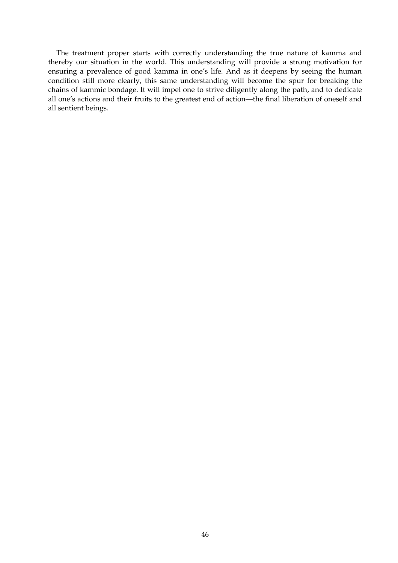The treatment proper starts with correctly understanding the true nature of kamma and thereby our situation in the world. This understanding will provide a strong motivation for ensuring a prevalence of good kamma in one's life. And as it deepens by seeing the human condition still more clearly, this same understanding will become the spur for breaking the chains of kammic bondage. It will impel one to strive diligently along the path, and to dedicate all one's actions and their fruits to the greatest end of action—the final liberation of oneself and all sentient beings.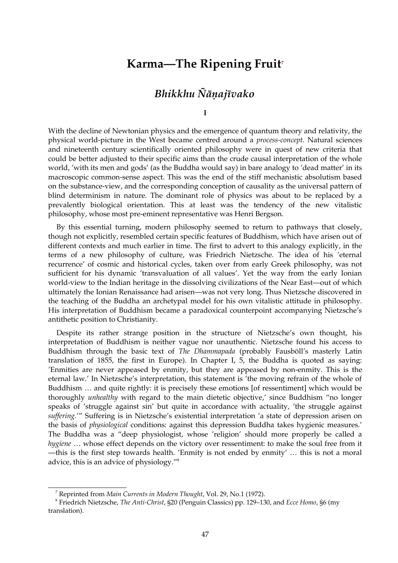### <span id="page-46-0"></span>**Karma—The Ripening Fruit[7](#page-46-1)**

## *Bhikkhu Ñāṇajīvako*

**I**

With the decline of Newtonian physics and the emergence of quantum theory and relativity, the physical world-picture in the West became centred around a *process-concept.* Natural sciences and nineteenth century scientifically oriented philosophy were in quest of new criteria that could be better adjusted to their specific aims than the crude causal interpretation of the whole world, 'with its men and gods' (as the Buddha would say) in bare analogy to 'dead matter' in its macroscopic common-sense aspect. This was the end of the stiff mechanistic absolutism based on the substance-view, and the corresponding conception of causality as the universal pattern of blind determinism in nature. The dominant role of physics was about to be replaced by a prevalently biological orientation. This at least was the tendency of the new vitalistic philosophy, whose most pre-eminent representative was Henri Bergson.

By this essential turning, modern philosophy seemed to return to pathways that closely, though not explicitly, resembled certain specific features of Buddhism, which have arisen out of different contexts and much earlier in time. The first to advert to this analogy explicitly, in the terms of a new philosophy of culture, was Friedrich Nietzsche. The idea of his 'eternal recurrence' of cosmic and historical cycles, taken over from early Greek philosophy, was not sufficient for his dynamic 'transvaluation of all values'. Yet the way from the early Ionian world-view to the Indian heritage in the dissolving civilizations of the Near East—out of which ultimately the Ionian Renaissance had arisen—was not very long. Thus Nietzsche discovered in the teaching of the Buddha an archetypal model for his own vitalistic attitude in philosophy. His interpretation of Buddhism became a paradoxical counterpoint accompanying Nietzsche's antithetic position to Christianity.

Despite its rather strange position in the structure of Nietzsche's own thought, his interpretation of Buddhism is neither vague nor unauthentic. Nietzsche found his access to Buddhism through the basic text of *The Dhammapada* (probably Fausböll's masterly Latin translation of 1855, the first in Europe). In Chapter I, 5, the Buddha is quoted as saying: 'Enmities are never appeased by enmity, but they are appeased by non-enmity. This is the eternal law.' In Nietzsche's interpretation, this statement is 'the moving refrain of the whole of Buddhism ... and quite rightly: it is precisely these emotions [of ressentiment] which would be thoroughly *unhealthy* with regard to the main dietetic objective,' since Buddhism "no longer speaks of 'struggle against sin' but quite in accordance with actuality, 'the struggle against *suffering.*'" Suffering is in Nietzsche's existential interpretation 'a state of depression arisen on the basis of *physiological* conditions: against this depression Buddha takes hygienic measures.' The Buddha was a "deep physiologist, whose 'religion' should more properly be called a *hygiene* … whose effect depends on the victory over ressentiment: to make the soul free from it —this is the first step towards health. 'Enmity is not ended by enmity' … this is not a moral advice, this is an advice of physiology."[8](#page-46-2)

<span id="page-46-2"></span><span id="page-46-1"></span><sup>7</sup> Reprinted from *Main Currents in Modern Thought*, Vol. 29, No.1 (1972).

<sup>8</sup> Friedrich Nietzsche, *The Anti-Christ*, §20 (Penguin Classics) pp. 129–130, and *Ecce Homo*, §6 (my translation).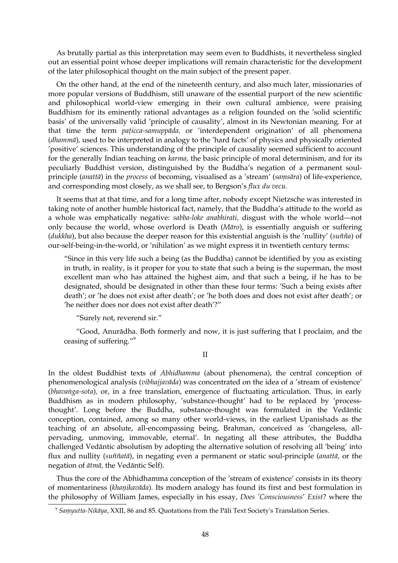As brutally partial as this interpretation may seem even to Buddhists, it nevertheless singled out an essential point whose deeper implications will remain characteristic for the development of the later philosophical thought on the main subject of the present paper.

On the other hand, at the end of the nineteenth century, and also much later, missionaries of more popular versions of Buddhism, still unaware of the essential purport of the new scientific and philosophical world-view emerging in their own cultural ambience, were praising Buddhism for its eminently rational advantages as a religion founded on the 'solid scientific basis' of the universally valid 'principle of causality', almost in its Newtonian meaning. For at that time the term *paṭicca-samuppāda,* or 'interdependent origination' of all phenomena (*dhammā*)*,* used to be interpreted in analogy to the 'hard facts' of physics and physically oriented 'positive' sciences. This understanding of the principle of causality seemed sufficient to account for the generally Indian teaching on *karma,* the basic principle of moral determinism, and for its peculiarly Buddhist version, distinguished by the Buddha's negation of a permanent soulprinciple (*anattā*) in the *process* of becoming, visualised as a 'stream' (*saṃsāra*) of life-experience, and corresponding most closely, as we shall see, to Bergson's *flux du vecu.*

It seems that at that time, and for a long time after, nobody except Nietzsche was interested in taking note of another humble historical fact, namely, that the Buddha's attitude to the world as a whole was emphatically negative: *sabba-loke anabhirati,* disgust with the whole world—not only because the world, whose overlord is Death (*Māro*), is essentially anguish or suffering (*dukkha*), but also because the deeper reason for this existential anguish is the 'nullity' (*suñña*) of our-self-being-in-the-world, or 'nihilation' as we might express it in twentieth century terms:

"Since in this very life such a being (as the Buddha) cannot be identified by you as existing in truth, in reality, is it proper for you to state that such a being is the superman, the most excellent man who has attained the highest aim, and that such a being, if he has to be designated, should be designated in other than these four terms: 'Such a being exists after death'; or 'he does not exist after death'; or 'he both does and does not exist after death'; or 'he neither does nor does not exist after death'?"

"Surely not, reverend sir."

"Good, Anurādha. Both formerly and now, it is just suffering that I proclaim, and the ceasing of suffering."[9](#page-47-0)

II

In the oldest Buddhist texts of *Abhidhamma* (about phenomena), the central conception of phenomenological analysis (*vibhajjavāda*) was concentrated on the idea of a 'stream of existence' (*bhavaṅga-sota*)*,* or, in a free translation, emergence of fluctuating articulation. Thus, in early Buddhism as in modern philosophy, 'substance-thought' had to be replaced by 'processthought'. Long before the Buddha, substance-thought was formulated in the Vedāntic conception, contained, among so many other world-views, in the earliest Upanishads as the teaching of an absolute, all-encompassing being, Brahman, conceived as 'changeless, allpervading, unmoving, immovable, eternal'. In negating all these attributes, the Buddha challenged Vedāntic absolutism by adopting the alternative solution of resolving all 'being' into flux and nullity (*suññatā*), in negating even a permanent or static soul-principle (*anattā,* or the negation of *ātmā,* the Vedāntic Self).

Thus the core of the Abhidhamma conception of the 'stream of existence' consists in its theory of momentariness (*khaṇikavāda*)*.* Its modern analogy has found its first and best formulation in the philosophy of William James, especially in his essay, *Does 'Consciousness*' *Exist*? where the

<span id="page-47-0"></span><sup>9</sup> *Saṃyutta-Nikāya*, XXII, 86 and 85. Quotations from the Pāli Text Society's Translation Series.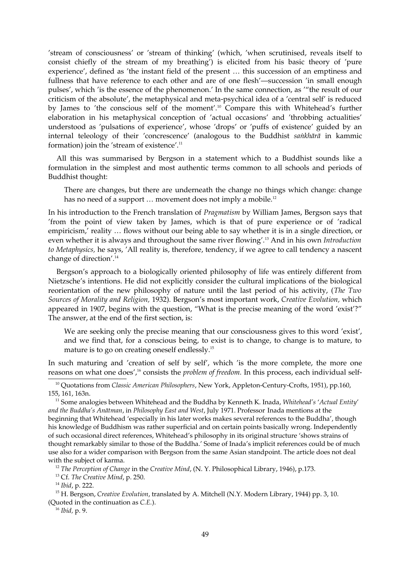'stream of consciousness' or 'stream of thinking' (which, 'when scrutinised, reveals itself to consist chiefly of the stream of my breathing') is elicited from his basic theory of 'pure experience', defined as 'the instant field of the present … this succession of an emptiness and fullness that have reference to each other and are of one flesh'—succession 'in small enough pulses', which 'is the essence of the phenomenon.' In the same connection, as '"the result of our criticism of the absolute', the metaphysical and meta-psychical idea of a 'central self' is reduced by James to 'the conscious self of the moment'.[10](#page-48-0) Compare this with Whitehead's further elaboration in his metaphysical conception of 'actual occasions' and 'throbbing actualities' understood as 'pulsations of experience', whose 'drops' or 'puffs of existence' guided by an internal teleology of their 'concrescence' (analogous to the Buddhist *saṅkhārā* in kammic formation) join the 'stream of existence'.[11](#page-48-1)

All this was summarised by Bergson in a statement which to a Buddhist sounds like a formulation in the simplest and most authentic terms common to all schools and periods of Buddhist thought:

There are changes, but there are underneath the change no things which change: change has no need of a support ... movement does not imply a mobile.<sup>[12](#page-48-2)</sup>

In his introduction to the French translation of *Pragmatism* by William James, Bergson says that 'from the point of view taken by James, which is that of pure experience or of 'radical empiricism,' reality … flows without our being able to say whether it is in a single direction, or even whether it is always and throughout the same river flowing'.[13](#page-48-3) And in his own *Introduction to Metaphysics,* he says, 'All reality is, therefore, tendency, if we agree to call tendency a nascent change of direction'.[14](#page-48-4)

Bergson's approach to a biologically oriented philosophy of life was entirely different from Nietzsche's intentions. He did not explicitly consider the cultural implications of the biological reorientation of the new philosophy of nature until the last period of his activity, (*The Two Sources of Morality and Religion,* 1932)*.* Bergson's most important work, *Creative Evolution,* which appeared in 1907, begins with the question, "What is the precise meaning of the word 'exist'?" The answer, at the end of the first section, is:

We are seeking only the precise meaning that our consciousness gives to this word 'exist', and we find that, for a conscious being, to exist is to change, to change is to mature, to mature is to go on creating oneself endlessly.[15](#page-48-5)

In such maturing and 'creation of self by self', which 'is the more complete, the more one reasons on what one does',[16](#page-48-6) consists the *problem of freedom.* In this process, each individual self-

<span id="page-48-2"></span><sup>12</sup> *The Perception of Change* in the *Creative Mind*, (N. Y. Philosophical Library, 1946), p.173.

<span id="page-48-3"></span><sup>13</sup> Cf. *The Creative Mind*, p. 250.

<span id="page-48-5"></span><span id="page-48-4"></span><sup>14</sup> *Ibid*, p. 222.

<sup>15</sup> H. Bergson, *Creative Evolution*, translated by A. Mitchell (N.Y. Modern Library, 1944) pp. 3, 10. (Quoted in the continuation as *C.E.*).

<span id="page-48-6"></span><sup>16</sup> *Ibid,* p. 9.

<span id="page-48-0"></span><sup>&</sup>lt;sup>10</sup> Quotations from *Classic American Philosophers*, New York, Appleton-Century-Crofts, 1951), pp.160, 155, 161, 163n.

<span id="page-48-1"></span><sup>11</sup> Some analogies between Whitehead and the Buddha by Kenneth K. Inada, *Whitehead's* '*Actual Entity*' *and the Buddha's Anātman*, in *Philosophy East and West*, July 1971. Professor Inada mentions at the beginning that Whitehead 'especially in his later works makes several references to the Buddha', though his knowledge of Buddhism was rather superficial and on certain points basically wrong. Independently of such occasional direct references, Whitehead's philosophy in its original structure 'shows strains of thought remarkably similar to those of the Buddha.' Some of Inada's implicit references could be of much use also for a wider comparison with Bergson from the same Asian standpoint. The article does not deal with the subject of karma.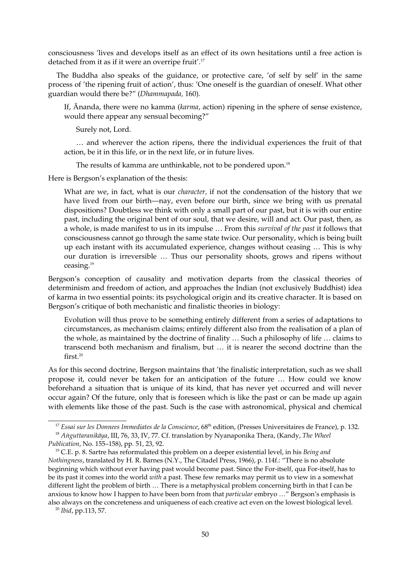consciousness 'lives and develops itself as an effect of its own hesitations until a free action is detached from it as if it were an overripe fruit'.<sup>[17](#page-49-0)</sup>

The Buddha also speaks of the guidance, or protective care, 'of self by self' in the same process of 'the ripening fruit of action', thus: 'One oneself is the guardian of oneself. What other guardian would there be?" (*Dhammapada,* 160)*.*

If, Ānanda, there were no kamma (*karma*, action) ripening in the sphere of sense existence, would there appear any sensual becoming?"

Surely not, Lord.

… and wherever the action ripens, there the individual experiences the fruit of that action, be it in this life, or in the next life, or in future lives.

The results of kamma are unthinkable, not to be pondered upon.<sup>[18](#page-49-1)</sup>

Here is Bergson's explanation of the thesis:

What are we, in fact, what is our *character,* if not the condensation of the history that we have lived from our birth—nay, even before our birth, since we bring with us prenatal dispositions? Doubtless we think with only a small part of our past, but it is with our entire past, including the original bent of our soul, that we desire, will and act. Our past, then, as a whole, is made manifest to us in its impulse … From this *survival of the past* it follows that consciousness cannot go through the same state twice. Our personality, which is being built up each instant with its accumulated experience, changes without ceasing … This is why our duration is irreversible … Thus our personality shoots, grows and ripens without ceasing.[19](#page-49-2)

Bergson's conception of causality and motivation departs from the classical theories of determinism and freedom of action, and approaches the Indian (not exclusively Buddhist) idea of karma in two essential points: its psychological origin and its creative character. It is based on Bergson's critique of both mechanistic and finalistic theories in biology:

Evolution will thus prove to be something entirely different from a series of adaptations to circumstances, as mechanism claims; entirely different also from the realisation of a plan of the whole, as maintained by the doctrine of finality … Such a philosophy of life … claims to transcend both mechanism and finalism, but … it is nearer the second doctrine than the first.[20](#page-49-3)

As for this second doctrine, Bergson maintains that 'the finalistic interpretation, such as we shall propose it, could never be taken for an anticipation of the future … How could we know beforehand a situation that is unique of its kind, that has never yet occurred and will never occur again? Of the future, only that is foreseen which is like the past or can be made up again with elements like those of the past. Such is the case with astronomical, physical and chemical

<span id="page-49-1"></span><span id="page-49-0"></span><sup>&</sup>lt;sup>17</sup> *Essai sur les Donnees Immediates de la Conscience*, 68<sup>th</sup> edition, (Presses Universitaires de France), p. 132. <sup>18</sup> *Aṅguttaranikāya*, III, 76, 33, IV, 77. Cf. translation by Nyanaponika Thera, (Kandy, *The Wheel Publication*, No. 155–158), pp. 51, 23, 92.

<span id="page-49-2"></span><sup>19</sup> C.E. p. 8. Sartre has reformulated this problem on a deeper existential level, in his *Being and Nothingness*, translated by H. R. Barnes (N.Y., The Citadel Press, 1966), p. 114f.: "There is no absolute beginning which without ever having past would become past. Since the For-itself, qua For-itself, has to be its past it comes into the world *with* a past. These few remarks may permit us to view in a somewhat different light the problem of birth … There is a metaphysical problem concerning birth in that I can be anxious to know how I happen to have been born from that *particular* embryo …" Bergson's emphasis is also always on the concreteness and uniqueness of each creative act even on the lowest biological level.

<span id="page-49-3"></span><sup>20</sup> *Ibid*, pp.113, 57.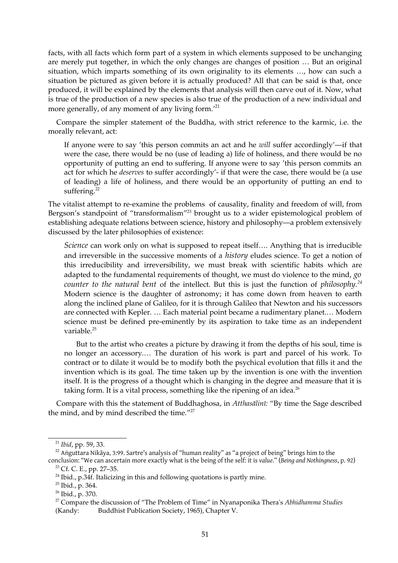facts, with all facts which form part of a system in which elements supposed to be unchanging are merely put together, in which the only changes are changes of position … But an original situation, which imparts something of its own originality to its elements …, how can such a situation be pictured as given before it is actually produced? All that can be said is that, once produced, it will be explained by the elements that analysis will then carve out of it. Now, what is true of the production of a new species is also true of the production of a new individual and more generally, of any moment of any living form.<sup>'[21](#page-50-0)</sup>

Compare the simpler statement of the Buddha, with strict reference to the karmic, i.e. the morally relevant, act:

If anyone were to say 'this person commits an act and he *will* suffer accordingly'—if that were the case, there would be no (use of leading a) life of holiness, and there would be no opportunity of putting an end to suffering. If anyone were to say 'this person commits an act for which he *deserves* to suffer accordingly'- if that were the case, there would be (a use of leading) a life of holiness, and there would be an opportunity of putting an end to suffering. $^{22}$  $^{22}$  $^{22}$ 

The vitalist attempt to re-examine the problems of causality, finality and freedom of will, from Bergson's standpoint of "transformalism"<sup>[23](#page-50-2)</sup> brought us to a wider epistemological problem of establishing adequate relations between science, history and philosophy—a problem extensively discussed by the later philosophies of existence:

*Science* can work only on what is supposed to repeat itself…. Anything that is irreducible and irreversible in the successive moments of a *history* eludes science. To get a notion of this irreducibility and irreversibility, we must break with scientific habits which are adapted to the fundamental requirements of thought, we must do violence to the mind, *go counter to the natural bent* of the intellect. But this is just the function of *philosophy.[24](#page-50-3)* Modern science is the daughter of astronomy; it has come down from heaven to earth along the inclined plane of Galileo, for it is through Galileo that Newton and his successors are connected with Kepler. … Each material point became a rudimentary planet.… Modern science must be defined pre-eminently by its aspiration to take time as an independent variable.[25](#page-50-4)

But to the artist who creates a picture by drawing it from the depths of his soul, time is no longer an accessory.… The duration of his work is part and parcel of his work. To contract or to dilate it would be to modify both the psychical evolution that fills it and the invention which is its goal. The time taken up by the invention is one with the invention itself. It is the progress of a thought which is changing in the degree and measure that it is taking form. It is a vital process, something like the ripening of an idea.<sup>[26](#page-50-5)</sup>

Compare with this the statement of Buddhaghosa, in *Atthasālinī:* "By time the Sage described the mind, and by mind described the time."<sup>[27](#page-50-6)</sup>

<span id="page-50-1"></span><span id="page-50-0"></span><sup>21</sup> *Ibid*, pp. 59, 33.

<sup>&</sup>lt;sup>22</sup> Aṅguttara Nikāya, 3:99. Sartre's analysis of "human reality" as "a project of being" brings him to the conclusion: "We can ascertain more exactly what is the being of the self: it is *value*." (*Being and Nothingness*, p. 92)

<span id="page-50-2"></span><sup>23</sup> Cf. C. E., pp. 27–35.

<span id="page-50-3"></span> $24$  Ibid., p.34f. Italicizing in this and following quotations is partly mine.

<span id="page-50-4"></span> $25$  Ibid., p. 364.

<span id="page-50-5"></span><sup>26</sup> Ibid., p. 370.

<span id="page-50-6"></span><sup>27</sup> Compare the discussion of "The Problem of Time" in Nyanaponika Thera's *Abhidhamma Studies* (Kandy: Buddhist Publication Society, 1965), Chapter V.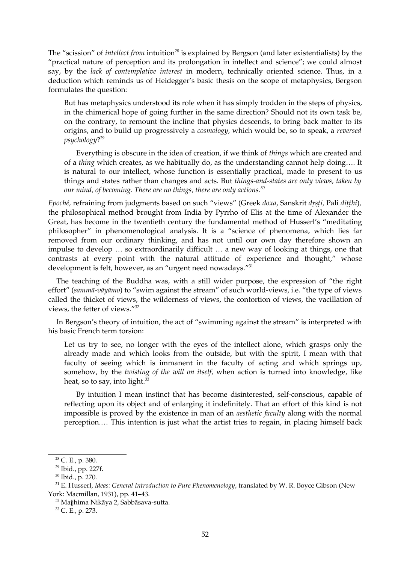The "scission" of *intellect from* intuition<sup>[28](#page-51-0)</sup> is explained by Bergson (and later existentialists) by the "practical nature of perception and its prolongation in intellect and science"; we could almost say, by the *lack of contemplative interest* in modern, technically oriented science. Thus, in a deduction which reminds us of Heidegger's basic thesis on the scope of metaphysics, Bergson formulates the question:

But has metaphysics understood its role when it has simply trodden in the steps of physics, in the chimerical hope of going further in the same direction? Should not its own task be, on the contrary, to remount the incline that physics descends, to bring back matter to its origins, and to build up progressively a *cosmology,* which would be, so to speak, a *reversed psychology*? [29](#page-51-1)

Everything is obscure in the idea of creation, if we think of *things* which are created and of a *thing* which creates, as we habitually do, as the understanding cannot help doing…. It is natural to our intellect, whose function is essentially practical, made to present to us things and states rather than changes and acts. But *things-and-states are only views, taken by our mind, of becoming. There are no things, there are only actions.[30](#page-51-2)*

*Epoché,* refraining from judgments based on such "views" (Greek *doxa*, Sanskrit *dṛṣṭi,* Pali *diṭṭhi*)*,* the philosophical method brought from India by Pyrrho of Elis at the time of Alexander the Great, has become in the twentieth century the fundamental method of Husserl's "meditating philosopher" in phenomenological analysis. It is a "science of phenomena, which lies far removed from our ordinary thinking, and has not until our own day therefore shown an impulse to develop … so extraordinarily difficult … a new way of looking at things, one that contrasts at every point with the natural attitude of experience and thought," whose development is felt, however, as an "urgent need nowadays."<sup>[31](#page-51-3)</sup>

The teaching of the Buddha was, with a still wider purpose, the expression of "the right effort" (*sammā-vāyāmo*) to "swim against the stream" of such world-views, i.e. "the type of views called the thicket of views, the wilderness of views, the contortion of views, the vacillation of views, the fetter of views."[32](#page-51-4)

In Bergson's theory of intuition, the act of "swimming against the stream" is interpreted with his basic French term torsion:

Let us try to see, no longer with the eyes of the intellect alone, which grasps only the already made and which looks from the outside, but with the spirit, I mean with that faculty of seeing which is immanent in the faculty of acting and which springs up, somehow, by the *twisting of the will on itself,* when action is turned into knowledge, like heat, so to say, into light. $33$ 

By intuition I mean instinct that has become disinterested, self-conscious, capable of reflecting upon its object and of enlarging it indefinitely. That an effort of this kind is not impossible is proved by the existence in man of an *aesthetic faculty* along with the normal perception.… This intention is just what the artist tries to regain, in placing himself back

<span id="page-51-5"></span> $33$  C. E., p. 273.

<span id="page-51-0"></span> $28$  C. E., p. 380.

<span id="page-51-1"></span><sup>29</sup> Ibid., pp. 227f.

<span id="page-51-3"></span><span id="page-51-2"></span><sup>30</sup> Ibid., p. 270.

<sup>&</sup>lt;sup>31</sup> E. Husserl, *Ideas: General Introduction to Pure Phenomenology*, translated by W. R. Boyce Gibson (New York: Macmillan, 1931), pp. 41–43.

<span id="page-51-4"></span><sup>32</sup> Majjhima Nikāya 2, Sabbāsava-sutta.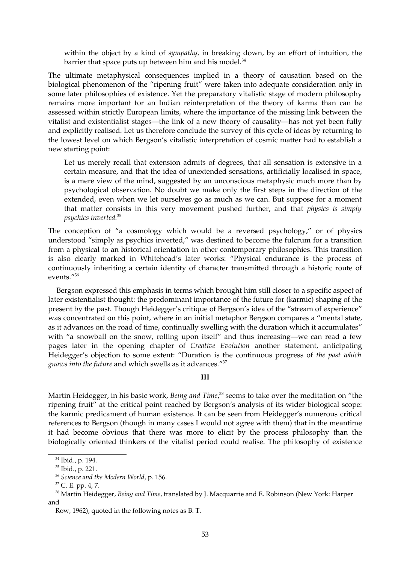within the object by a kind of *sympathy,* in breaking down, by an effort of intuition, the barrier that space puts up between him and his model.<sup>[34](#page-52-0)</sup>

The ultimate metaphysical consequences implied in a theory of causation based on the biological phenomenon of the "ripening fruit" were taken into adequate consideration only in some later philosophies of existence. Yet the preparatory vitalistic stage of modern philosophy remains more important for an Indian reinterpretation of the theory of karma than can be assessed within strictly European limits, where the importance of the missing link between the vitalist and existentialist stages—the link of a new theory of causality—has not yet been fully and explicitly realised. Let us therefore conclude the survey of this cycle of ideas by returning to the lowest level on which Bergson's vitalistic interpretation of cosmic matter had to establish a new starting point:

Let us merely recall that extension admits of degrees, that all sensation is extensive in a certain measure, and that the idea of unextended sensations, artificially localised in space, is a mere view of the mind, suggested by an unconscious metaphysic much more than by psychological observation. No doubt we make only the first steps in the direction of the extended, even when we let ourselves go as much as we can. But suppose for a moment that matter consists in this very movement pushed further, and that *physics is simply psychics inverted.*[35](#page-52-1)

The conception of "a cosmology which would be a reversed psychology," or of physics understood "simply as psychics inverted," was destined to become the fulcrum for a transition from a physical to an historical orientation in other contemporary philosophies. This transition is also clearly marked in Whitehead's later works: "Physical endurance is the process of continuously inheriting a certain identity of character transmitted through a historic route of events."[36](#page-52-2)

Bergson expressed this emphasis in terms which brought him still closer to a specific aspect of later existentialist thought: the predominant importance of the future for (karmic) shaping of the present by the past. Though Heidegger's critique of Bergson's idea of the "stream of experience" was concentrated on this point, where in an initial metaphor Bergson compares a "mental state, as it advances on the road of time, continually swelling with the duration which it accumulates" with "a snowball on the snow, rolling upon itself" and thus increasing—we can read a few pages later in the opening chapter of *Creative Evolution* another statement, anticipating Heidegger's objection to some extent: "Duration is the continuous progress of *the past which gnaws into the future* and which swell*s* as it advances."[37](#page-52-3)

#### **III**

Martin Heidegger, in his basic work, *Being and Time*, [38](#page-52-4) seems to take over the meditation on "the ripening fruit" at the critical point reached by Bergson's analysis of its wider biological scope: the karmic predicament of human existence. It can be seen from Heidegger's numerous critical references to Bergson (though in many cases I would not agree with them) that in the meantime it had become obvious that there was more to elicit by the process philosophy than the biologically oriented thinkers of the vitalist period could realise. The philosophy of existence

<span id="page-52-0"></span><sup>34</sup> Ibid., p. 194.

<span id="page-52-1"></span><sup>35</sup> Ibid., p. 221.

<span id="page-52-2"></span><sup>36</sup> *Science and the Modern World*, p. 156.

<span id="page-52-4"></span><span id="page-52-3"></span> $37$  C. E. pp. 4, 7.

<sup>38</sup> Martin Heidegger, *Being and Time*, translated by J. Macquarrie and E. Robinson (New York: Harper and

Row, 1962), quoted in the following notes as B. T.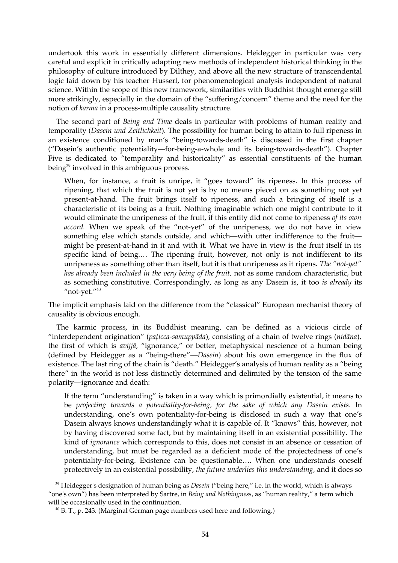undertook this work in essentially different dimensions. Heidegger in particular was very careful and explicit in critically adapting new methods of independent historical thinking in the philosophy of culture introduced by Dilthey, and above all the new structure of transcendental logic laid down by his teacher Husserl, for phenomenological analysis independent of natural science. Within the scope of this new framework, similarities with Buddhist thought emerge still more strikingly, especially in the domain of the "suffering/concern" theme and the need for the notion of *karma* in a process-multiple causality structure.

The second part of *Being and Time* deals in particular with problems of human reality and temporality (*Dasein und Zeitlichkeit*)*.* The possibility for human being to attain to full ripeness in an existence conditioned by man's "being-towards-death" is discussed in the first chapter ("Dasein's authentic potentiality—for-being-a-whole and its being-towards-death"). Chapter Five is dedicated to "temporality and historicality" as essential constituents of the human being<sup>[39](#page-53-0)</sup> involved in this ambiguous process.

When, for instance, a fruit is unripe, it "goes toward" its ripeness. In this process of ripening, that which the fruit is not yet is by no means pieced on as something not yet present-at-hand. The fruit brings itself to ripeness, and such a bringing of itself is a characteristic of its being as a fruit. Nothing imaginable which one might contribute to it would eliminate the unripeness of the fruit, if this entity did not come to ripeness *of its own accord.* When we speak of the "not-yet" of the unripeness, we do not have in view something else which stands outside, and which—with utter indifference to the fruit might be present-at-hand in it and with it. What we have in view is the fruit itself in its specific kind of being.… The ripening fruit, however, not only is not indifferent to its unripeness as something other than itself, but it is that unripeness as it ripens. *The "not-yet" has already been included in the very being of the fruit,* not as some random characteristic, but as something constitutive. Correspondingly, as long as any Dasein is, it too *is already* its "not-yet. $^{\prime\prime40}$  $^{\prime\prime40}$  $^{\prime\prime40}$ 

The implicit emphasis laid on the difference from the "classical" European mechanist theory of causality is obvious enough.

The karmic process, in its Buddhist meaning, can be defined as a vicious circle of "interdependent origination" (*paṭicca-samuppāda*)*,* consisting of a chain of twelve rings (*nidāna*)*,* the first of which is *avijjā,* "ignorance," or better, metaphysical nescience of a human being (defined by Heidegger as a "being-there"*—Dasein*) about his own emergence in the flux of existence. The last ring of the chain is "death." Heidegger's analysis of human reality as a "being there" in the world is not less distinctly determined and delimited by the tension of the same polarity—ignorance and death:

If the term "understanding" is taken in a way which is primordially existential, it means to be *projecting towards a potentiality-for-being, for the sake of which any Dasein exists.* In understanding, one's own potentiality-for-being is disclosed in such a way that one's Dasein always knows understandingly what it is capable of. It "knows" this, however, not by having discovered some fact, but by maintaining itself in an existential possibility. The kind of *ignorance* which corresponds to this, does not consist in an absence or cessation of understanding, but must be regarded as a deficient mode of the projectedness of one's potentiality-for-being. Existence can be questionable…. When one understands oneself protectively in an existential possibility, *the future underlies this understanding,* and it does so

<span id="page-53-0"></span><sup>39</sup> Heidegger's designation of human being as *Dasein* ("being here," i.e. in the world, which is always "one's own") has been interpreted by Sartre, in *Being and Nothingness*, as "human reality," a term which will be occasionally used in the continuation.

<span id="page-53-1"></span> $40$  B. T., p. 243. (Marginal German page numbers used here and following.)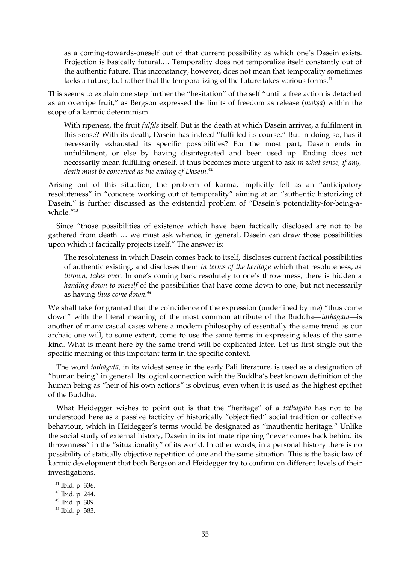as a coming-towards-oneself out of that current possibility as which one's Dasein exists. Projection is basically futural.… Temporality does not temporalize itself constantly out of the authentic future. This inconstancy, however, does not mean that temporality sometimes lacks a future, but rather that the temporalizing of the future takes various forms.<sup>[41](#page-54-0)</sup>

This seems to explain one step further the "hesitation" of the self "until a free action is detached as an overripe fruit," as Bergson expressed the limits of freedom as release (*mokṣa*) within the scope of a karmic determinism.

With ripeness, the fruit *fulfils* itself. But is the death at which Dasein arrives, a fulfilment in this sense? With its death, Dasein has indeed "fulfilled its course." But in doing so, has it necessarily exhausted its specific possibilities? For the most part, Dasein ends in unfulfilment, or else by having disintegrated and been used up. Ending does not necessarily mean fulfilling oneself. It thus becomes more urgent to ask *in what sense, if any, death must be conceived as the ending of Dasein.*[42](#page-54-1)

Arising out of this situation, the problem of karma, implicitly felt as an "anticipatory resoluteness" in "concrete working out of temporality" aiming at an "authentic historizing of Dasein," is further discussed as the existential problem of "Dasein's potentiality-for-being-awhole."[43](#page-54-2)

Since "those possibilities of existence which have been factically disclosed are not to be gathered from death … we must ask whence, in general, Dasein can draw those possibilities upon which it factically projects itself." The answer is:

The resoluteness in which Dasein comes back to itself, discloses current factical possibilities of authentic existing, and discloses them *in terms of the heritage* which that resoluteness, *as thrown, takes over.* In one's coming back resolutely to one's thrownness, there is hidden a *handing down to oneself* of the possibilities that have come down to one, but not necessarily as having *thus come down.[44](#page-54-3)*

We shall take for granted that the coincidence of the expression (underlined by me) "thus come down" with the literal meaning of the most common attribute of the Buddha—*tathāgata*—is another of many casual cases where a modern philosophy of essentially the same trend as our archaic one will, to some extent, come to use the same terms in expressing ideas of the same kind. What is meant here by the same trend will be explicated later. Let us first single out the specific meaning of this important term in the specific context.

The word *tathāgatā,* in its widest sense in the early Pali literature, is used as a designation of "human being" in general. Its logical connection with the Buddha's best known definition of the human being as "heir of his own actions" is obvious, even when it is used as the highest epithet of the Buddha.

What Heidegger wishes to point out is that the "heritage" of a *tathāgato* has not to be understood here as a passive facticity of historically "objectified" social tradition or collective behaviour, which in Heidegger's terms would be designated as "inauthentic heritage." Unlike the social study of external history, Dasein in its intimate ripening "never comes back behind its thrownness" in the "situationality" of its world. In other words, in a personal history there is no possibility of statically objective repetition of one and the same situation. This is the basic law of karmic development that both Bergson and Heidegger try to confirm on different levels of their investigations.

<span id="page-54-0"></span><sup>41</sup> Ibid. p. 336.

<span id="page-54-1"></span><sup>42</sup> Ibid. p. 244.

<span id="page-54-2"></span><sup>43</sup> Ibid. p. 309.

<span id="page-54-3"></span><sup>44</sup> Ibid. p. 383.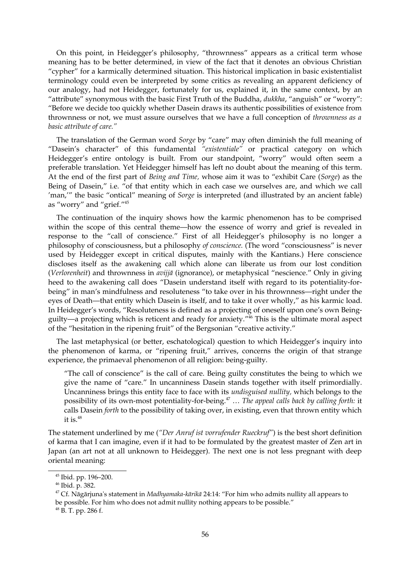On this point, in Heidegger's philosophy, "thrownness" appears as a critical term whose meaning has to be better determined, in view of the fact that it denotes an obvious Christian "cypher" for a karmically determined situation. This historical implication in basic existentialist terminology could even be interpreted by some critics as revealing an apparent deficiency of our analogy, had not Heidegger, fortunately for us, explained it, in the same context, by an "attribute" synonymous with the basic First Truth of the Buddha, *dukkha*, "anguish" or "worry": "Before we decide too quickly whether Dasein draws its authentic possibilities of existence from thrownness or not, we must assure ourselves that we have a full conception of *thrownness as a basic attribute of care."*

The translation of the German word *Sorge* by "care" may often diminish the full meaning of "Dasein's character" of this fundamental *"existentiale"* or practical category on which Heidegger's entire ontology is built. From our standpoint, "worry" would often seem a preferable translation. Yet Heidegger himself has left no doubt about the meaning of this term. At the end of the first part of *Being and Time,* whose aim it was to "exhibit Care (*Sorge*) as the Being of Dasein," i.e. "of that entity which in each case we ourselves are, and which we call 'man,'" the basic "ontical" meaning of *Sorge* is interpreted (and illustrated by an ancient fable) as "worry" and "grief."[45](#page-55-0)

The continuation of the inquiry shows how the karmic phenomenon has to be comprised within the scope of this central theme—how the essence of worry and grief is revealed in response to the "call of conscience." First of all Heidegger's philosophy is no longer a philosophy of consciousness, but a philosophy *of conscience.* (The word "consciousness" is never used by Heidegger except in critical disputes, mainly with the Kantians.) Here conscience discloses itself as the awakening call which alone can liberate us from our lost condition (*Verlorenheit*) and thrownness in *avijjā* (ignorance), or metaphysical "nescience." Only in giving heed to the awakening call does "Dasein understand itself with regard to its potentiality-forbeing" in man's mindfulness and resoluteness "to take over in his thrownness—right under the eyes of Death—that entity which Dasein is itself, and to take it over wholly," as his karmic load. In Heidegger's words, "Resoluteness is defined as a projecting of oneself upon one's own Beingguilty—a projecting which is reticent and ready for anxiety."[46](#page-55-1) This is the ultimate moral aspect of the "hesitation in the ripening fruit" of the Bergsonian "creative activity."

The last metaphysical (or better, eschatological) question to which Heidegger's inquiry into the phenomenon of karma, or "ripening fruit," arrives, concerns the origin of that strange experience, the primaeval phenomenon of all religion: being-guilty.

"The call of conscience" is the call of care. Being guilty constitutes the being to which we give the name of "care." In uncanniness Dasein stands together with itself primordially. Uncanniness brings this entity face to face with its *undisguised nullity,* which belongs to the possibility of its own-most potentiality-for-being.[47](#page-55-2) … *The appeal calls back by calling forth:* it calls Dasein *forth* to the possibility of taking over, in existing, even that thrown entity which it is. $48$ 

The statement underlined by me (*"Der Anruf ist vorrufender Rueckruf"*) is the best short definition of karma that I can imagine, even if it had to be formulated by the greatest master of Zen art in Japan (an art not at all unknown to Heidegger). The next one is not less pregnant with deep oriental meaning:

<span id="page-55-0"></span><sup>45</sup> Ibid. pp. 196–200.

<span id="page-55-1"></span><sup>46</sup> Ibid. p. 382.

<span id="page-55-2"></span><sup>47</sup> Cf. Nāgārjuna's statement in *Madhyamaka-kārikā* 24:14: "For him who admits nullity all appears to be possible. For him who does not admit nullity nothing appears to be possible."

<span id="page-55-3"></span><sup>48</sup> B. T. pp. 286 f.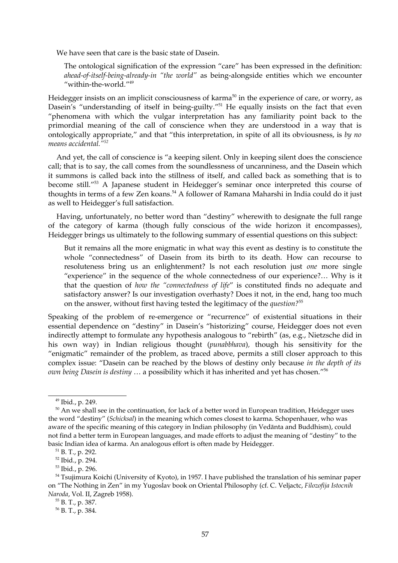We have seen that care is the basic state of Dasein.

The ontological signification of the expression "care" has been expressed in the definition: *ahead-of-itself-being-already-in "the world"* as being-alongside entities which we encounter "within-the-world."[49](#page-56-0)

Heidegger insists on an implicit consciousness of karma<sup>[50](#page-56-1)</sup> in the experience of care, or worry, as Dasein's "understanding of itself in being-guilty."<sup>[51](#page-56-2)</sup> He equally insists on the fact that even "phenomena with which the vulgar interpretation has any familiarity point back to the primordial meaning of the call of conscience when they are understood in a way that is ontologically appropriate," and that "this interpretation, in spite of all its obviousness, is *by no means accidental."[52](#page-56-3)*

And yet, the call of conscience is "a keeping silent. Only in keeping silent does the conscience call; that is to say, the call comes from the soundlessness of uncanniness, and the Dasein which it summons is called back into the stillness of itself, and called back as something that is to become still."[53](#page-56-4) A Japanese student in Heidegger's seminar once interpreted this course of thoughts in terms of a few Zen koans.<sup>[54](#page-56-5)</sup> A follower of Ramana Maharshi in India could do it just as well to Heidegger's full satisfaction.

Having, unfortunately, no better word than "destiny" wherewith to designate the full range of the category of karma (though fully conscious of the wide horizon it encompasses), Heidegger brings us ultimately to the following summary of essential questions on this subject:

But it remains all the more enigmatic in what way this event as destiny is to constitute the whole "connectedness" of Dasein from its birth to its death. How can recourse to resoluteness bring us an enlightenment? ls not each resolution just *one* more single "experience" in the sequence of the whole connectedness of our experience?… Why is it that the question of *how the "connectedness of life*" is constituted finds no adequate and satisfactory answer? Is our investigation overhasty? Does it not, in the end, hang too much on the answer, without first having tested the legitimacy of the *question?*[55](#page-56-6)

Speaking of the problem of re-emergence or "recurrence" of existential situations in their essential dependence on "destiny" in Dasein's "historizing" course, Heidegger does not even indirectly attempt to formulate any hypothesis analogous to "rebirth" (as, e.g., Nietzsche did in his own way) in Indian religious thought (*punabbhava*)*,* though his sensitivity for the "enigmatic" remainder of the problem, as traced above, permits a still closer approach to this complex issue: "Dasein can be reached by the blows of destiny only because *in the depth of its own being Dasein is destiny* … a possibility which it has inherited and yet has chosen."[56](#page-56-7)

<span id="page-56-1"></span><span id="page-56-0"></span><sup>49</sup> Ibid., p. 249.

<sup>&</sup>lt;sup>50</sup> An we shall see in the continuation, for lack of a better word in European tradition, Heidegger uses the word "destiny" (*Schicksal*) in the meaning which comes closest to karma. Schopenhauer, who was aware of the specific meaning of this category in Indian philosophy (in Vedānta and Buddhism), could not find a better term in European languages, and made efforts to adjust the meaning of "destiny" to the basic Indian idea of karma. An analogous effort is often made by Heidegger.

<span id="page-56-2"></span> $51$  B. T., p. 292.

<span id="page-56-3"></span><sup>52</sup> Ibid., p. 294.

<span id="page-56-5"></span><span id="page-56-4"></span><sup>53</sup> Ibid., p. 296.

<sup>&</sup>lt;sup>54</sup> Tsujimura Koichi (University of Kyoto), in 1957. I have published the translation of his seminar paper on "The Nothing in Zen" in my Yugoslav book on Oriental Philosophy (cf. C. Veljactc, *Filozofija Istocnih Naroda*, Vol. II, Zagreb 1958).

<span id="page-56-6"></span><sup>55</sup> B. T., p. 387.

<span id="page-56-7"></span><sup>56</sup> B. T., p. 384.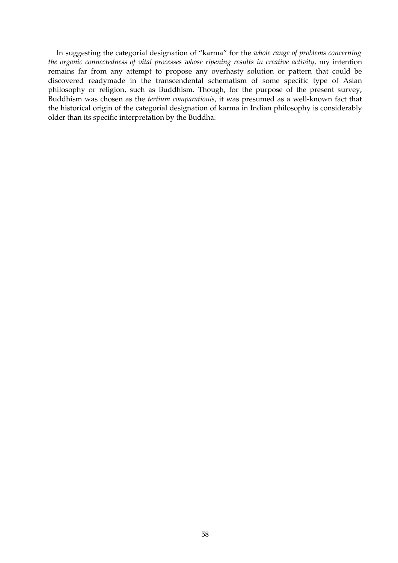In suggesting the categorial designation of "karma" for the *whole range of problems concerning the organic connectedness of vital processes whose ripening results in creative activity,* my intention remains far from any attempt to propose any overhasty solution or pattern that could be discovered readymade in the transcendental schematism of some specific type of Asian philosophy or religion, such as Buddhism. Though, for the purpose of the present survey, Buddhism was chosen as the *tertium comparationis,* it was presumed as a well-known fact that the historical origin of the categorial designation of karma in Indian philosophy is considerably older than its specific interpretation by the Buddha.